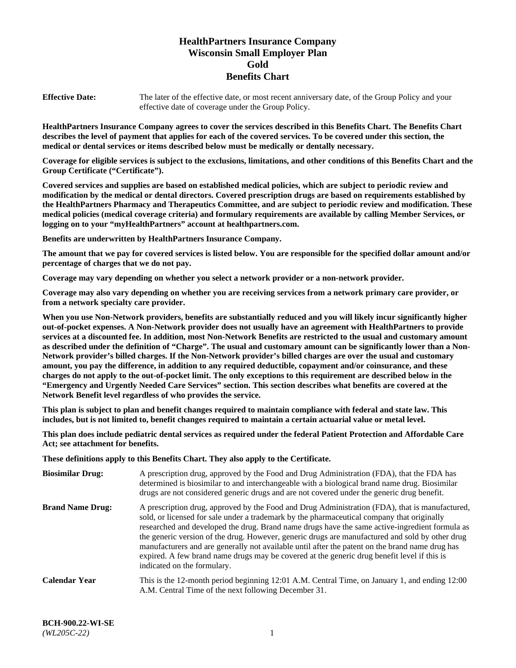# **HealthPartners Insurance Company Wisconsin Small Employer Plan Gold Benefits Chart**

**Effective Date:** The later of the effective date, or most recent anniversary date, of the Group Policy and your effective date of coverage under the Group Policy.

**HealthPartners Insurance Company agrees to cover the services described in this Benefits Chart. The Benefits Chart describes the level of payment that applies for each of the covered services. To be covered under this section, the medical or dental services or items described below must be medically or dentally necessary.**

**Coverage for eligible services is subject to the exclusions, limitations, and other conditions of this Benefits Chart and the Group Certificate ("Certificate").**

**Covered services and supplies are based on established medical policies, which are subject to periodic review and modification by the medical or dental directors. Covered prescription drugs are based on requirements established by the HealthPartners Pharmacy and Therapeutics Committee, and are subject to periodic review and modification. These medical policies (medical coverage criteria) and formulary requirements are available by calling Member Services, or logging on to your "myHealthPartners" account at [healthpartners.com.](https://www.healthpartners.com/hp/index.html)** 

**Benefits are underwritten by HealthPartners Insurance Company.**

**The amount that we pay for covered services is listed below. You are responsible for the specified dollar amount and/or percentage of charges that we do not pay.**

**Coverage may vary depending on whether you select a network provider or a non-network provider.**

**Coverage may also vary depending on whether you are receiving services from a network primary care provider, or from a network specialty care provider.**

**When you use Non-Network providers, benefits are substantially reduced and you will likely incur significantly higher out-of-pocket expenses. A Non-Network provider does not usually have an agreement with HealthPartners to provide services at a discounted fee. In addition, most Non-Network Benefits are restricted to the usual and customary amount as described under the definition of "Charge". The usual and customary amount can be significantly lower than a Non-Network provider's billed charges. If the Non-Network provider's billed charges are over the usual and customary amount, you pay the difference, in addition to any required deductible, copayment and/or coinsurance, and these charges do not apply to the out-of-pocket limit. The only exceptions to this requirement are described below in the "Emergency and Urgently Needed Care Services" section. This section describes what benefits are covered at the Network Benefit level regardless of who provides the service.**

**This plan is subject to plan and benefit changes required to maintain compliance with federal and state law. This includes, but is not limited to, benefit changes required to maintain a certain actuarial value or metal level.**

**This plan does include pediatric dental services as required under the federal Patient Protection and Affordable Care Act; see attachment for benefits.**

**These definitions apply to this Benefits Chart. They also apply to the Certificate.**

| <b>Biosimilar Drug:</b> | A prescription drug, approved by the Food and Drug Administration (FDA), that the FDA has<br>determined is biosimilar to and interchangeable with a biological brand name drug. Biosimilar<br>drugs are not considered generic drugs and are not covered under the generic drug benefit.                                                                                                                                                                                                                                                                                                                                           |
|-------------------------|------------------------------------------------------------------------------------------------------------------------------------------------------------------------------------------------------------------------------------------------------------------------------------------------------------------------------------------------------------------------------------------------------------------------------------------------------------------------------------------------------------------------------------------------------------------------------------------------------------------------------------|
| <b>Brand Name Drug:</b> | A prescription drug, approved by the Food and Drug Administration (FDA), that is manufactured,<br>sold, or licensed for sale under a trademark by the pharmaceutical company that originally<br>researched and developed the drug. Brand name drugs have the same active-ingredient formula as<br>the generic version of the drug. However, generic drugs are manufactured and sold by other drug<br>manufacturers and are generally not available until after the patent on the brand name drug has<br>expired. A few brand name drugs may be covered at the generic drug benefit level if this is<br>indicated on the formulary. |
| <b>Calendar Year</b>    | This is the 12-month period beginning 12:01 A.M. Central Time, on January 1, and ending 12:00<br>A.M. Central Time of the next following December 31.                                                                                                                                                                                                                                                                                                                                                                                                                                                                              |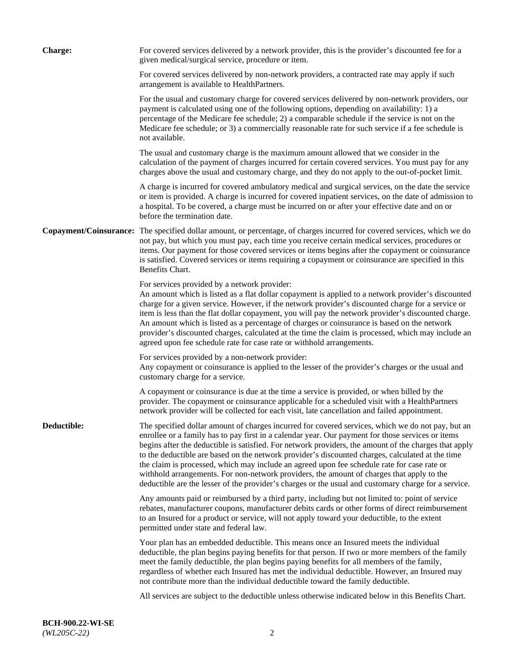| <b>Charge:</b> | For covered services delivered by a network provider, this is the provider's discounted fee for a<br>given medical/surgical service, procedure or item.                                                                                                                                                                                                                                                                                                                                                                                                                                                                                                                                                                 |
|----------------|-------------------------------------------------------------------------------------------------------------------------------------------------------------------------------------------------------------------------------------------------------------------------------------------------------------------------------------------------------------------------------------------------------------------------------------------------------------------------------------------------------------------------------------------------------------------------------------------------------------------------------------------------------------------------------------------------------------------------|
|                | For covered services delivered by non-network providers, a contracted rate may apply if such<br>arrangement is available to HealthPartners.                                                                                                                                                                                                                                                                                                                                                                                                                                                                                                                                                                             |
|                | For the usual and customary charge for covered services delivered by non-network providers, our<br>payment is calculated using one of the following options, depending on availability: 1) a<br>percentage of the Medicare fee schedule; 2) a comparable schedule if the service is not on the<br>Medicare fee schedule; or 3) a commercially reasonable rate for such service if a fee schedule is<br>not available.                                                                                                                                                                                                                                                                                                   |
|                | The usual and customary charge is the maximum amount allowed that we consider in the<br>calculation of the payment of charges incurred for certain covered services. You must pay for any<br>charges above the usual and customary charge, and they do not apply to the out-of-pocket limit.                                                                                                                                                                                                                                                                                                                                                                                                                            |
|                | A charge is incurred for covered ambulatory medical and surgical services, on the date the service<br>or item is provided. A charge is incurred for covered inpatient services, on the date of admission to<br>a hospital. To be covered, a charge must be incurred on or after your effective date and on or<br>before the termination date.                                                                                                                                                                                                                                                                                                                                                                           |
|                | Copayment/Coinsurance: The specified dollar amount, or percentage, of charges incurred for covered services, which we do<br>not pay, but which you must pay, each time you receive certain medical services, procedures or<br>items. Our payment for those covered services or items begins after the copayment or coinsurance<br>is satisfied. Covered services or items requiring a copayment or coinsurance are specified in this<br>Benefits Chart.                                                                                                                                                                                                                                                                 |
|                | For services provided by a network provider:<br>An amount which is listed as a flat dollar copayment is applied to a network provider's discounted<br>charge for a given service. However, if the network provider's discounted charge for a service or<br>item is less than the flat dollar copayment, you will pay the network provider's discounted charge.<br>An amount which is listed as a percentage of charges or coinsurance is based on the network<br>provider's discounted charges, calculated at the time the claim is processed, which may include an<br>agreed upon fee schedule rate for case rate or withhold arrangements.                                                                            |
|                | For services provided by a non-network provider:<br>Any copayment or coinsurance is applied to the lesser of the provider's charges or the usual and<br>customary charge for a service.                                                                                                                                                                                                                                                                                                                                                                                                                                                                                                                                 |
|                | A copayment or coinsurance is due at the time a service is provided, or when billed by the<br>provider. The copayment or coinsurance applicable for a scheduled visit with a HealthPartners<br>network provider will be collected for each visit, late cancellation and failed appointment.                                                                                                                                                                                                                                                                                                                                                                                                                             |
| Deductible:    | The specified dollar amount of charges incurred for covered services, which we do not pay, but an<br>enrollee or a family has to pay first in a calendar year. Our payment for those services or items<br>begins after the deductible is satisfied. For network providers, the amount of the charges that apply<br>to the deductible are based on the network provider's discounted charges, calculated at the time<br>the claim is processed, which may include an agreed upon fee schedule rate for case rate or<br>withhold arrangements. For non-network providers, the amount of charges that apply to the<br>deductible are the lesser of the provider's charges or the usual and customary charge for a service. |
|                | Any amounts paid or reimbursed by a third party, including but not limited to: point of service<br>rebates, manufacturer coupons, manufacturer debits cards or other forms of direct reimbursement<br>to an Insured for a product or service, will not apply toward your deductible, to the extent<br>permitted under state and federal law.                                                                                                                                                                                                                                                                                                                                                                            |
|                | Your plan has an embedded deductible. This means once an Insured meets the individual<br>deductible, the plan begins paying benefits for that person. If two or more members of the family<br>meet the family deductible, the plan begins paying benefits for all members of the family,<br>regardless of whether each Insured has met the individual deductible. However, an Insured may<br>not contribute more than the individual deductible toward the family deductible.                                                                                                                                                                                                                                           |
|                | All services are subject to the deductible unless otherwise indicated below in this Benefits Chart.                                                                                                                                                                                                                                                                                                                                                                                                                                                                                                                                                                                                                     |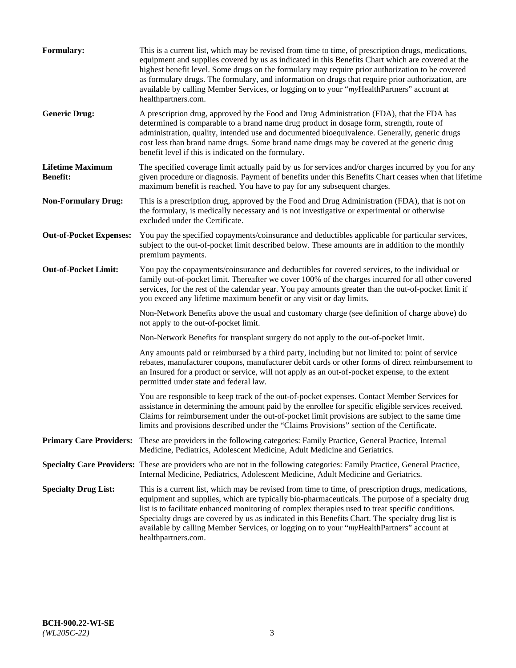| Formulary:                                 | This is a current list, which may be revised from time to time, of prescription drugs, medications,<br>equipment and supplies covered by us as indicated in this Benefits Chart which are covered at the<br>highest benefit level. Some drugs on the formulary may require prior authorization to be covered<br>as formulary drugs. The formulary, and information on drugs that require prior authorization, are<br>available by calling Member Services, or logging on to your "myHealthPartners" account at<br>healthpartners.com. |
|--------------------------------------------|---------------------------------------------------------------------------------------------------------------------------------------------------------------------------------------------------------------------------------------------------------------------------------------------------------------------------------------------------------------------------------------------------------------------------------------------------------------------------------------------------------------------------------------|
| <b>Generic Drug:</b>                       | A prescription drug, approved by the Food and Drug Administration (FDA), that the FDA has<br>determined is comparable to a brand name drug product in dosage form, strength, route of<br>administration, quality, intended use and documented bioequivalence. Generally, generic drugs<br>cost less than brand name drugs. Some brand name drugs may be covered at the generic drug<br>benefit level if this is indicated on the formulary.                                                                                           |
| <b>Lifetime Maximum</b><br><b>Benefit:</b> | The specified coverage limit actually paid by us for services and/or charges incurred by you for any<br>given procedure or diagnosis. Payment of benefits under this Benefits Chart ceases when that lifetime<br>maximum benefit is reached. You have to pay for any subsequent charges.                                                                                                                                                                                                                                              |
| <b>Non-Formulary Drug:</b>                 | This is a prescription drug, approved by the Food and Drug Administration (FDA), that is not on<br>the formulary, is medically necessary and is not investigative or experimental or otherwise<br>excluded under the Certificate.                                                                                                                                                                                                                                                                                                     |
| <b>Out-of-Pocket Expenses:</b>             | You pay the specified copayments/coinsurance and deductibles applicable for particular services,<br>subject to the out-of-pocket limit described below. These amounts are in addition to the monthly<br>premium payments.                                                                                                                                                                                                                                                                                                             |
| <b>Out-of-Pocket Limit:</b>                | You pay the copayments/coinsurance and deductibles for covered services, to the individual or<br>family out-of-pocket limit. Thereafter we cover 100% of the charges incurred for all other covered<br>services, for the rest of the calendar year. You pay amounts greater than the out-of-pocket limit if<br>you exceed any lifetime maximum benefit or any visit or day limits.                                                                                                                                                    |
|                                            | Non-Network Benefits above the usual and customary charge (see definition of charge above) do<br>not apply to the out-of-pocket limit.                                                                                                                                                                                                                                                                                                                                                                                                |
|                                            | Non-Network Benefits for transplant surgery do not apply to the out-of-pocket limit.                                                                                                                                                                                                                                                                                                                                                                                                                                                  |
|                                            | Any amounts paid or reimbursed by a third party, including but not limited to: point of service<br>rebates, manufacturer coupons, manufacturer debit cards or other forms of direct reimbursement to<br>an Insured for a product or service, will not apply as an out-of-pocket expense, to the extent<br>permitted under state and federal law.                                                                                                                                                                                      |
|                                            | You are responsible to keep track of the out-of-pocket expenses. Contact Member Services for<br>assistance in determining the amount paid by the enrollee for specific eligible services received.<br>Claims for reimbursement under the out-of-pocket limit provisions are subject to the same time<br>limits and provisions described under the "Claims Provisions" section of the Certificate.                                                                                                                                     |
| <b>Primary Care Providers:</b>             | These are providers in the following categories: Family Practice, General Practice, Internal<br>Medicine, Pediatrics, Adolescent Medicine, Adult Medicine and Geriatrics.                                                                                                                                                                                                                                                                                                                                                             |
|                                            | Specialty Care Providers: These are providers who are not in the following categories: Family Practice, General Practice,<br>Internal Medicine, Pediatrics, Adolescent Medicine, Adult Medicine and Geriatrics.                                                                                                                                                                                                                                                                                                                       |
| <b>Specialty Drug List:</b>                | This is a current list, which may be revised from time to time, of prescription drugs, medications,<br>equipment and supplies, which are typically bio-pharmaceuticals. The purpose of a specialty drug<br>list is to facilitate enhanced monitoring of complex therapies used to treat specific conditions.<br>Specialty drugs are covered by us as indicated in this Benefits Chart. The specialty drug list is<br>available by calling Member Services, or logging on to your "myHealthPartners" account at<br>healthpartners.com. |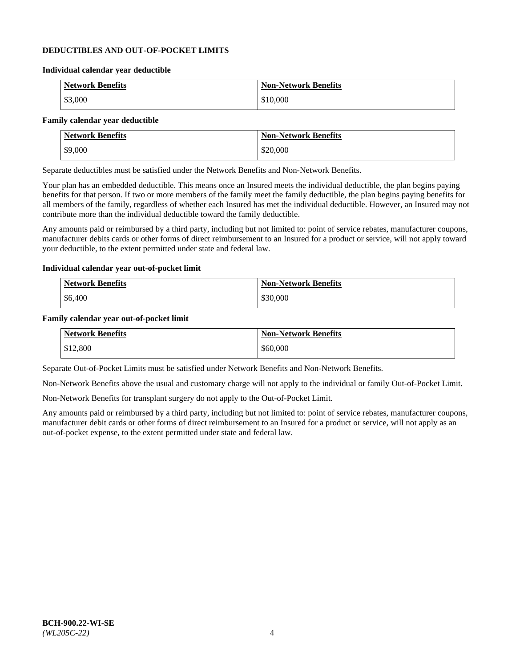### **DEDUCTIBLES AND OUT-OF-POCKET LIMITS**

#### **Individual calendar year deductible**

| <b>Network Benefits</b> | <b>Non-Network Benefits</b> |
|-------------------------|-----------------------------|
| \$3,000                 | \$10,000                    |

#### **Family calendar year deductible**

| <b>Network Benefits</b> | <b>Non-Network Benefits</b> |
|-------------------------|-----------------------------|
| \$9,000                 | \$20,000                    |

Separate deductibles must be satisfied under the Network Benefits and Non-Network Benefits.

Your plan has an embedded deductible. This means once an Insured meets the individual deductible, the plan begins paying benefits for that person. If two or more members of the family meet the family deductible, the plan begins paying benefits for all members of the family, regardless of whether each Insured has met the individual deductible. However, an Insured may not contribute more than the individual deductible toward the family deductible.

Any amounts paid or reimbursed by a third party, including but not limited to: point of service rebates, manufacturer coupons, manufacturer debits cards or other forms of direct reimbursement to an Insured for a product or service, will not apply toward your deductible, to the extent permitted under state and federal law.

#### **Individual calendar year out-of-pocket limit**

| Network Benefits | <b>Non-Network Benefits</b> |
|------------------|-----------------------------|
| \$6,400          | \$30,000                    |

#### **Family calendar year out-of-pocket limit**

| <b>Network Benefits</b> | <b>Non-Network Benefits</b> |
|-------------------------|-----------------------------|
| \$12,800                | \$60,000                    |

Separate Out-of-Pocket Limits must be satisfied under Network Benefits and Non-Network Benefits.

Non-Network Benefits above the usual and customary charge will not apply to the individual or family Out-of-Pocket Limit.

Non-Network Benefits for transplant surgery do not apply to the Out-of-Pocket Limit.

Any amounts paid or reimbursed by a third party, including but not limited to: point of service rebates, manufacturer coupons, manufacturer debit cards or other forms of direct reimbursement to an Insured for a product or service, will not apply as an out-of-pocket expense, to the extent permitted under state and federal law.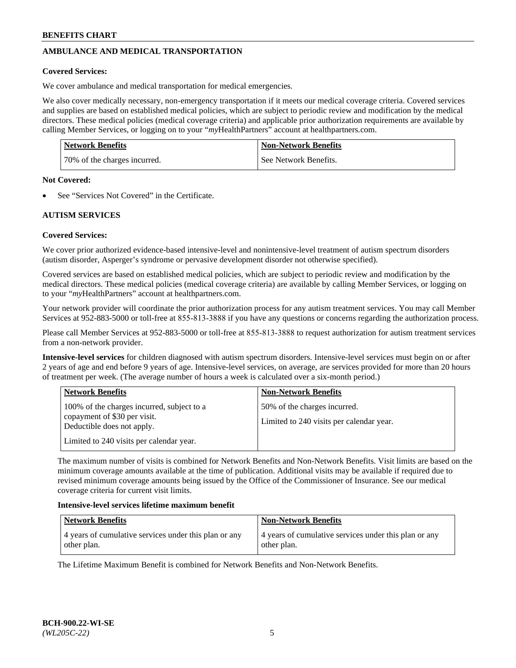# **AMBULANCE AND MEDICAL TRANSPORTATION**

## **Covered Services:**

We cover ambulance and medical transportation for medical emergencies.

We also cover medically necessary, non-emergency transportation if it meets our medical coverage criteria. Covered services and supplies are based on established medical policies, which are subject to periodic review and modification by the medical directors. These medical policies (medical coverage criteria) and applicable prior authorization requirements are available by calling Member Services, or logging on to your "*my*HealthPartners" account a[t healthpartners.com.](https://www.healthpartners.com/hp/index.html)

| <b>Network Benefits</b>      | <b>Non-Network Benefits</b> |
|------------------------------|-----------------------------|
| 70% of the charges incurred. | See Network Benefits.       |

#### **Not Covered:**

See "Services Not Covered" in the Certificate.

## **AUTISM SERVICES**

## **Covered Services:**

We cover prior authorized evidence-based intensive-level and nonintensive-level treatment of autism spectrum disorders (autism disorder, Asperger's syndrome or pervasive development disorder not otherwise specified).

Covered services are based on established medical policies, which are subject to periodic review and modification by the medical directors. These medical policies (medical coverage criteria) are available by calling Member Services, or logging on to your "*my*HealthPartners" account at [healthpartners.com.](https://www.healthpartners.com/hp/index.html)

Your network provider will coordinate the prior authorization process for any autism treatment services. You may call Member Services at 952-883-5000 or toll-free at 855-813-3888 if you have any questions or concerns regarding the authorization process.

Please call Member Services at 952-883-5000 or toll-free at 855-813-3888 to request authorization for autism treatment services from a non-network provider.

**Intensive-level services** for children diagnosed with autism spectrum disorders. Intensive-level services must begin on or after 2 years of age and end before 9 years of age. Intensive-level services, on average, are services provided for more than 20 hours of treatment per week. (The average number of hours a week is calculated over a six-month period.)

| <b>Network Benefits</b>                                                                                                                              | <b>Non-Network Benefits</b>                                              |
|------------------------------------------------------------------------------------------------------------------------------------------------------|--------------------------------------------------------------------------|
| 100% of the charges incurred, subject to a<br>copayment of \$30 per visit.<br>Deductible does not apply.<br>Limited to 240 visits per calendar year. | 50% of the charges incurred.<br>Limited to 240 visits per calendar year. |

The maximum number of visits is combined for Network Benefits and Non-Network Benefits. Visit limits are based on the minimum coverage amounts available at the time of publication. Additional visits may be available if required due to revised minimum coverage amounts being issued by the Office of the Commissioner of Insurance. See our medical coverage criteria for current visit limits.

#### **Intensive-level services lifetime maximum benefit**

| Network Benefits                                      | <b>Non-Network Benefits</b>                           |
|-------------------------------------------------------|-------------------------------------------------------|
| 4 years of cumulative services under this plan or any | 4 years of cumulative services under this plan or any |
| other plan.                                           | other plan.                                           |

The Lifetime Maximum Benefit is combined for Network Benefits and Non-Network Benefits.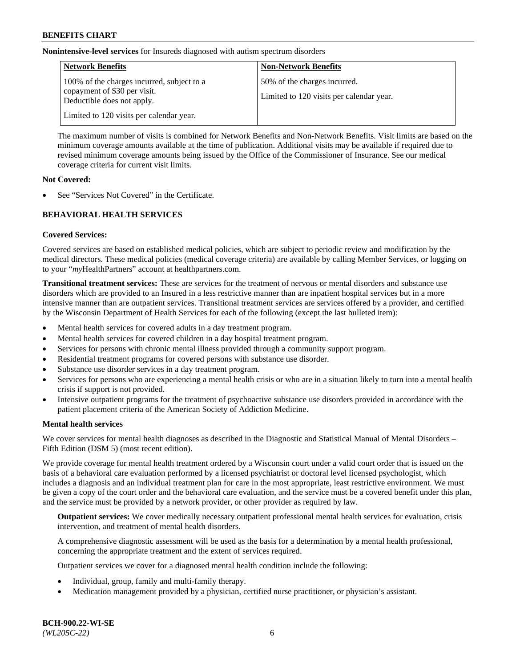**Nonintensive-level services** for Insureds diagnosed with autism spectrum disorders

| <b>Network Benefits</b>                                                                                  | <b>Non-Network Benefits</b>                                              |
|----------------------------------------------------------------------------------------------------------|--------------------------------------------------------------------------|
| 100% of the charges incurred, subject to a<br>copayment of \$30 per visit.<br>Deductible does not apply. | 50% of the charges incurred.<br>Limited to 120 visits per calendar year. |
| Limited to 120 visits per calendar year.                                                                 |                                                                          |

The maximum number of visits is combined for Network Benefits and Non-Network Benefits. Visit limits are based on the minimum coverage amounts available at the time of publication. Additional visits may be available if required due to revised minimum coverage amounts being issued by the Office of the Commissioner of Insurance. See our medical coverage criteria for current visit limits.

### **Not Covered:**

See "Services Not Covered" in the Certificate.

## **BEHAVIORAL HEALTH SERVICES**

## **Covered Services:**

Covered services are based on established medical policies, which are subject to periodic review and modification by the medical directors. These medical policies (medical coverage criteria) are available by calling Member Services, or logging on to your "*my*HealthPartners" account at [healthpartners.com.](https://www.healthpartners.com/hp/index.html)

**Transitional treatment services:** These are services for the treatment of nervous or mental disorders and substance use disorders which are provided to an Insured in a less restrictive manner than are inpatient hospital services but in a more intensive manner than are outpatient services. Transitional treatment services are services offered by a provider, and certified by the Wisconsin Department of Health Services for each of the following (except the last bulleted item):

- Mental health services for covered adults in a day treatment program.
- Mental health services for covered children in a day hospital treatment program.
- Services for persons with chronic mental illness provided through a community support program.
- Residential treatment programs for covered persons with substance use disorder.
- Substance use disorder services in a day treatment program.
- Services for persons who are experiencing a mental health crisis or who are in a situation likely to turn into a mental health crisis if support is not provided.
- Intensive outpatient programs for the treatment of psychoactive substance use disorders provided in accordance with the patient placement criteria of the American Society of Addiction Medicine.

## **Mental health services**

We cover services for mental health diagnoses as described in the Diagnostic and Statistical Manual of Mental Disorders – Fifth Edition (DSM 5) (most recent edition).

We provide coverage for mental health treatment ordered by a Wisconsin court under a valid court order that is issued on the basis of a behavioral care evaluation performed by a licensed psychiatrist or doctoral level licensed psychologist, which includes a diagnosis and an individual treatment plan for care in the most appropriate, least restrictive environment. We must be given a copy of the court order and the behavioral care evaluation, and the service must be a covered benefit under this plan, and the service must be provided by a network provider, or other provider as required by law.

**Outpatient services:** We cover medically necessary outpatient professional mental health services for evaluation, crisis intervention, and treatment of mental health disorders.

A comprehensive diagnostic assessment will be used as the basis for a determination by a mental health professional, concerning the appropriate treatment and the extent of services required.

Outpatient services we cover for a diagnosed mental health condition include the following:

- Individual, group, family and multi-family therapy.
- Medication management provided by a physician, certified nurse practitioner, or physician's assistant.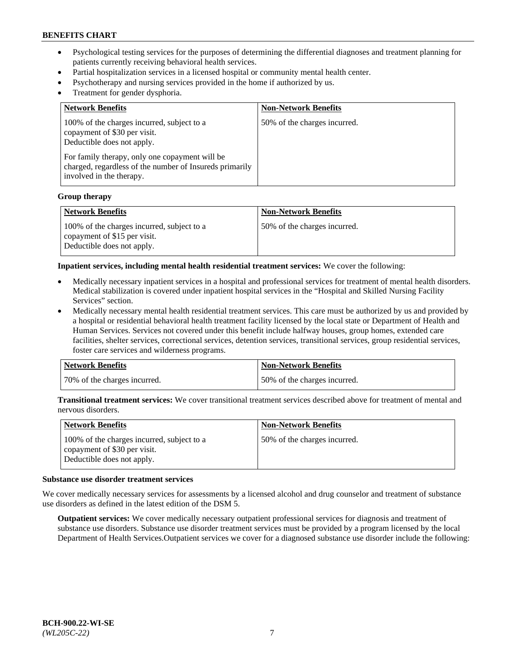- Psychological testing services for the purposes of determining the differential diagnoses and treatment planning for patients currently receiving behavioral health services.
- Partial hospitalization services in a licensed hospital or community mental health center.
- Psychotherapy and nursing services provided in the home if authorized by us.
- Treatment for gender dysphoria.

| <b>Network Benefits</b>                                                                                                                                                                                                                           | <b>Non-Network Benefits</b>  |
|---------------------------------------------------------------------------------------------------------------------------------------------------------------------------------------------------------------------------------------------------|------------------------------|
| 100% of the charges incurred, subject to a<br>copayment of \$30 per visit.<br>Deductible does not apply.<br>For family therapy, only one copayment will be<br>charged, regardless of the number of Insureds primarily<br>involved in the therapy. | 50% of the charges incurred. |

#### **Group therapy**

| Network Benefits                                                                                         | <b>Non-Network Benefits</b>  |
|----------------------------------------------------------------------------------------------------------|------------------------------|
| 100% of the charges incurred, subject to a<br>copayment of \$15 per visit.<br>Deductible does not apply. | 50% of the charges incurred. |

**Inpatient services, including mental health residential treatment services:** We cover the following:

- Medically necessary inpatient services in a hospital and professional services for treatment of mental health disorders. Medical stabilization is covered under inpatient hospital services in the "Hospital and Skilled Nursing Facility Services" section.
- Medically necessary mental health residential treatment services. This care must be authorized by us and provided by a hospital or residential behavioral health treatment facility licensed by the local state or Department of Health and Human Services. Services not covered under this benefit include halfway houses, group homes, extended care facilities, shelter services, correctional services, detention services, transitional services, group residential services, foster care services and wilderness programs.

| <b>Network Benefits</b>      | Non-Network Benefits         |
|------------------------------|------------------------------|
| 70% of the charges incurred. | 50% of the charges incurred. |

**Transitional treatment services:** We cover transitional treatment services described above for treatment of mental and nervous disorders.

| Network Benefits                                                                                         | <b>Non-Network Benefits</b>  |
|----------------------------------------------------------------------------------------------------------|------------------------------|
| 100% of the charges incurred, subject to a<br>copayment of \$30 per visit.<br>Deductible does not apply. | 50% of the charges incurred. |

#### **Substance use disorder treatment services**

We cover medically necessary services for assessments by a licensed alcohol and drug counselor and treatment of substance use disorders as defined in the latest edition of the DSM 5.

**Outpatient services:** We cover medically necessary outpatient professional services for diagnosis and treatment of substance use disorders. Substance use disorder treatment services must be provided by a program licensed by the local Department of Health Services.Outpatient services we cover for a diagnosed substance use disorder include the following: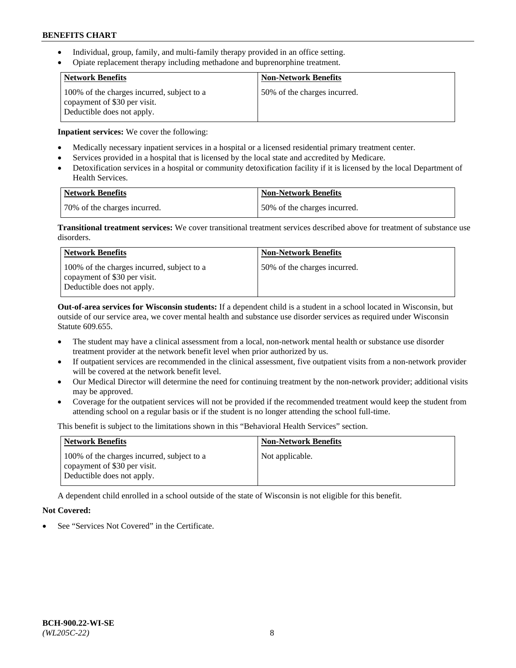- Individual, group, family, and multi-family therapy provided in an office setting.
- Opiate replacement therapy including methadone and buprenorphine treatment.

| <b>Network Benefits</b>                                                                                  | <b>Non-Network Benefits</b>  |
|----------------------------------------------------------------------------------------------------------|------------------------------|
| 100% of the charges incurred, subject to a<br>copayment of \$30 per visit.<br>Deductible does not apply. | 50% of the charges incurred. |

**Inpatient services:** We cover the following:

- Medically necessary inpatient services in a hospital or a licensed residential primary treatment center.
- Services provided in a hospital that is licensed by the local state and accredited by Medicare.
- Detoxification services in a hospital or community detoxification facility if it is licensed by the local Department of Health Services.

| Network Benefits             | Non-Network Benefits         |
|------------------------------|------------------------------|
| 70% of the charges incurred. | 50% of the charges incurred. |

**Transitional treatment services:** We cover transitional treatment services described above for treatment of substance use disorders.

| <b>Network Benefits</b>                                                                                  | <b>Non-Network Benefits</b>  |
|----------------------------------------------------------------------------------------------------------|------------------------------|
| 100% of the charges incurred, subject to a<br>copayment of \$30 per visit.<br>Deductible does not apply. | 50% of the charges incurred. |

**Out-of-area services for Wisconsin students:** If a dependent child is a student in a school located in Wisconsin, but outside of our service area, we cover mental health and substance use disorder services as required under Wisconsin Statute 609.655.

- The student may have a clinical assessment from a local, non-network mental health or substance use disorder treatment provider at the network benefit level when prior authorized by us.
- If outpatient services are recommended in the clinical assessment, five outpatient visits from a non-network provider will be covered at the network benefit level.
- Our Medical Director will determine the need for continuing treatment by the non-network provider; additional visits may be approved.
- Coverage for the outpatient services will not be provided if the recommended treatment would keep the student from attending school on a regular basis or if the student is no longer attending the school full-time.

This benefit is subject to the limitations shown in this "Behavioral Health Services" section.

| <b>Network Benefits</b>                                                                                  | <b>Non-Network Benefits</b> |
|----------------------------------------------------------------------------------------------------------|-----------------------------|
| 100% of the charges incurred, subject to a<br>copayment of \$30 per visit.<br>Deductible does not apply. | Not applicable.             |

A dependent child enrolled in a school outside of the state of Wisconsin is not eligible for this benefit.

## **Not Covered:**

See "Services Not Covered" in the Certificate.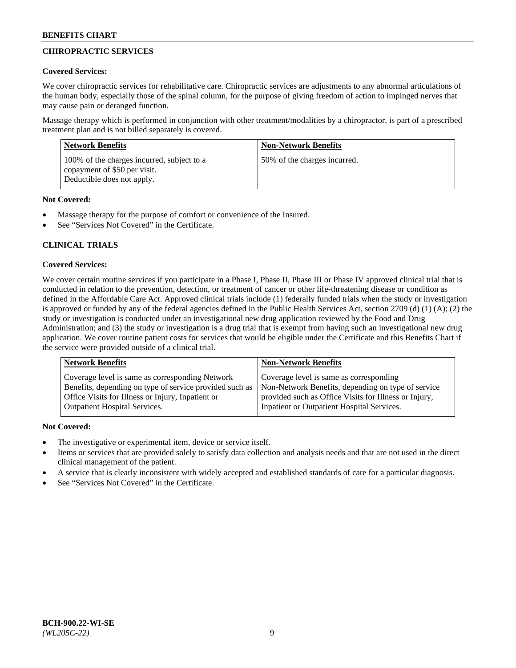# **CHIROPRACTIC SERVICES**

## **Covered Services:**

We cover chiropractic services for rehabilitative care. Chiropractic services are adjustments to any abnormal articulations of the human body, especially those of the spinal column, for the purpose of giving freedom of action to impinged nerves that may cause pain or deranged function.

Massage therapy which is performed in conjunction with other treatment/modalities by a chiropractor, is part of a prescribed treatment plan and is not billed separately is covered.

| <b>Network Benefits</b>                                                                                  | <b>Non-Network Benefits</b>  |
|----------------------------------------------------------------------------------------------------------|------------------------------|
| 100% of the charges incurred, subject to a<br>copayment of \$50 per visit.<br>Deductible does not apply. | 50% of the charges incurred. |

## **Not Covered:**

- Massage therapy for the purpose of comfort or convenience of the Insured.
- See "Services Not Covered" in the Certificate.

# **CLINICAL TRIALS**

## **Covered Services:**

We cover certain routine services if you participate in a Phase I, Phase II, Phase III or Phase IV approved clinical trial that is conducted in relation to the prevention, detection, or treatment of cancer or other life-threatening disease or condition as defined in the Affordable Care Act. Approved clinical trials include (1) federally funded trials when the study or investigation is approved or funded by any of the federal agencies defined in the Public Health Services Act, section 2709 (d) (1) (A); (2) the study or investigation is conducted under an investigational new drug application reviewed by the Food and Drug Administration; and (3) the study or investigation is a drug trial that is exempt from having such an investigational new drug application. We cover routine patient costs for services that would be eligible under the Certificate and this Benefits Chart if the service were provided outside of a clinical trial.

| Coverage level is same as corresponding<br>Coverage level is same as corresponding Network<br>Non-Network Benefits, depending on type of service<br>Benefits, depending on type of service provided such as<br>Office Visits for Illness or Injury, Inpatient or<br>provided such as Office Visits for Illness or Injury, | <b>Network Benefits</b>              | <b>Non-Network Benefits</b>                |
|---------------------------------------------------------------------------------------------------------------------------------------------------------------------------------------------------------------------------------------------------------------------------------------------------------------------------|--------------------------------------|--------------------------------------------|
|                                                                                                                                                                                                                                                                                                                           | <b>Outpatient Hospital Services.</b> | Inpatient or Outpatient Hospital Services. |

- The investigative or experimental item, device or service itself.
- Items or services that are provided solely to satisfy data collection and analysis needs and that are not used in the direct clinical management of the patient.
- A service that is clearly inconsistent with widely accepted and established standards of care for a particular diagnosis.
- See "Services Not Covered" in the Certificate.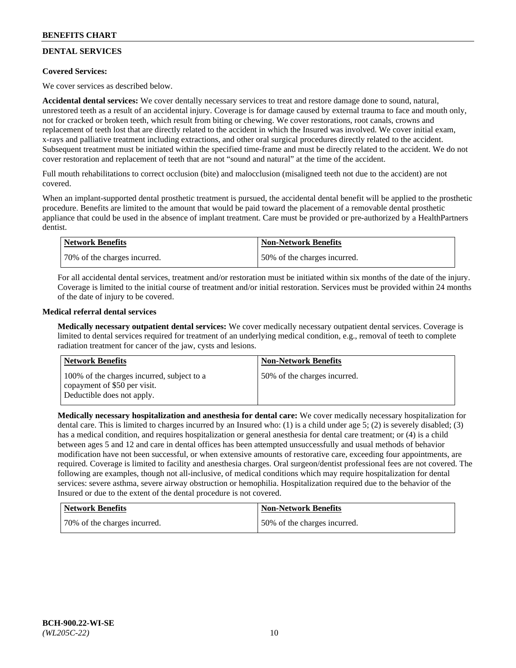# **DENTAL SERVICES**

## **Covered Services:**

We cover services as described below.

**Accidental dental services:** We cover dentally necessary services to treat and restore damage done to sound, natural, unrestored teeth as a result of an accidental injury. Coverage is for damage caused by external trauma to face and mouth only, not for cracked or broken teeth, which result from biting or chewing. We cover restorations, root canals, crowns and replacement of teeth lost that are directly related to the accident in which the Insured was involved. We cover initial exam, x-rays and palliative treatment including extractions, and other oral surgical procedures directly related to the accident. Subsequent treatment must be initiated within the specified time-frame and must be directly related to the accident. We do not cover restoration and replacement of teeth that are not "sound and natural" at the time of the accident.

Full mouth rehabilitations to correct occlusion (bite) and malocclusion (misaligned teeth not due to the accident) are not covered.

When an implant-supported dental prosthetic treatment is pursued, the accidental dental benefit will be applied to the prosthetic procedure. Benefits are limited to the amount that would be paid toward the placement of a removable dental prosthetic appliance that could be used in the absence of implant treatment. Care must be provided or pre-authorized by a HealthPartners dentist.

| Network Benefits             | <b>Non-Network Benefits</b>  |
|------------------------------|------------------------------|
| 70% of the charges incurred. | 50% of the charges incurred. |

For all accidental dental services, treatment and/or restoration must be initiated within six months of the date of the injury. Coverage is limited to the initial course of treatment and/or initial restoration. Services must be provided within 24 months of the date of injury to be covered.

### **Medical referral dental services**

**Medically necessary outpatient dental services:** We cover medically necessary outpatient dental services. Coverage is limited to dental services required for treatment of an underlying medical condition, e.g., removal of teeth to complete radiation treatment for cancer of the jaw, cysts and lesions.

| <b>Network Benefits</b>                                                                                  | <b>Non-Network Benefits</b>  |
|----------------------------------------------------------------------------------------------------------|------------------------------|
| 100% of the charges incurred, subject to a<br>copayment of \$50 per visit.<br>Deductible does not apply. | 50% of the charges incurred. |

**Medically necessary hospitalization and anesthesia for dental care:** We cover medically necessary hospitalization for dental care. This is limited to charges incurred by an Insured who: (1) is a child under age 5; (2) is severely disabled; (3) has a medical condition, and requires hospitalization or general anesthesia for dental care treatment; or (4) is a child between ages 5 and 12 and care in dental offices has been attempted unsuccessfully and usual methods of behavior modification have not been successful, or when extensive amounts of restorative care, exceeding four appointments, are required. Coverage is limited to facility and anesthesia charges. Oral surgeon/dentist professional fees are not covered. The following are examples, though not all-inclusive, of medical conditions which may require hospitalization for dental services: severe asthma, severe airway obstruction or hemophilia. Hospitalization required due to the behavior of the Insured or due to the extent of the dental procedure is not covered.

| <b>Network Benefits</b>      | Non-Network Benefits         |
|------------------------------|------------------------------|
| 70% of the charges incurred. | 50% of the charges incurred. |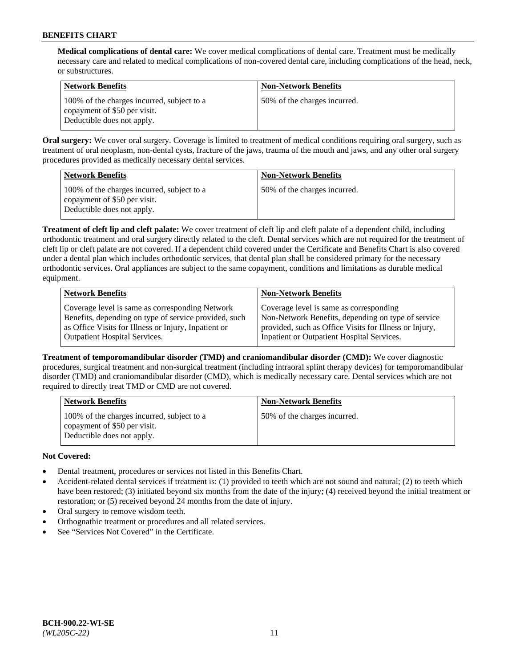**Medical complications of dental care:** We cover medical complications of dental care. Treatment must be medically necessary care and related to medical complications of non-covered dental care, including complications of the head, neck, or substructures.

| Network Benefits                                                                                         | <b>Non-Network Benefits</b>  |
|----------------------------------------------------------------------------------------------------------|------------------------------|
| 100% of the charges incurred, subject to a<br>copayment of \$50 per visit.<br>Deductible does not apply. | 50% of the charges incurred. |

**Oral surgery:** We cover oral surgery. Coverage is limited to treatment of medical conditions requiring oral surgery, such as treatment of oral neoplasm, non-dental cysts, fracture of the jaws, trauma of the mouth and jaws, and any other oral surgery procedures provided as medically necessary dental services.

| <b>Network Benefits</b>                                                                                  | <b>Non-Network Benefits</b>  |
|----------------------------------------------------------------------------------------------------------|------------------------------|
| 100% of the charges incurred, subject to a<br>copayment of \$50 per visit.<br>Deductible does not apply. | 50% of the charges incurred. |

**Treatment of cleft lip and cleft palate:** We cover treatment of cleft lip and cleft palate of a dependent child, including orthodontic treatment and oral surgery directly related to the cleft. Dental services which are not required for the treatment of cleft lip or cleft palate are not covered. If a dependent child covered under the Certificate and Benefits Chart is also covered under a dental plan which includes orthodontic services, that dental plan shall be considered primary for the necessary orthodontic services. Oral appliances are subject to the same copayment, conditions and limitations as durable medical equipment.

| <b>Network Benefits</b>                               | <b>Non-Network Benefits</b>                            |
|-------------------------------------------------------|--------------------------------------------------------|
| Coverage level is same as corresponding Network       | Coverage level is same as corresponding                |
| Benefits, depending on type of service provided, such | Non-Network Benefits, depending on type of service     |
| as Office Visits for Illness or Injury, Inpatient or  | provided, such as Office Visits for Illness or Injury, |
| Outpatient Hospital Services.                         | Inpatient or Outpatient Hospital Services.             |

**Treatment of temporomandibular disorder (TMD) and craniomandibular disorder (CMD):** We cover diagnostic procedures, surgical treatment and non-surgical treatment (including intraoral splint therapy devices) for temporomandibular disorder (TMD) and craniomandibular disorder (CMD), which is medically necessary care. Dental services which are not required to directly treat TMD or CMD are not covered.

| <b>Network Benefits</b>                                                                                  | <b>Non-Network Benefits</b>  |
|----------------------------------------------------------------------------------------------------------|------------------------------|
| 100% of the charges incurred, subject to a<br>copayment of \$50 per visit.<br>Deductible does not apply. | 50% of the charges incurred. |

- Dental treatment, procedures or services not listed in this Benefits Chart.
- Accident-related dental services if treatment is: (1) provided to teeth which are not sound and natural; (2) to teeth which have been restored; (3) initiated beyond six months from the date of the injury; (4) received beyond the initial treatment or restoration; or (5) received beyond 24 months from the date of injury.
- Oral surgery to remove wisdom teeth.
- Orthognathic treatment or procedures and all related services.
- See "Services Not Covered" in the Certificate.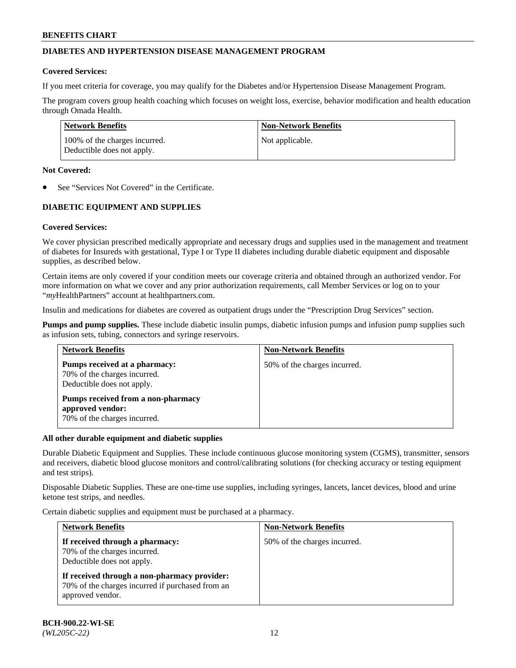## **DIABETES AND HYPERTENSION DISEASE MANAGEMENT PROGRAM**

### **Covered Services:**

If you meet criteria for coverage, you may qualify for the Diabetes and/or Hypertension Disease Management Program.

The program covers group health coaching which focuses on weight loss, exercise, behavior modification and health education through Omada Health.

| <b>Network Benefits</b>                                     | <b>Non-Network Benefits</b> |
|-------------------------------------------------------------|-----------------------------|
| 100% of the charges incurred.<br>Deductible does not apply. | Not applicable.             |

### **Not Covered:**

See "Services Not Covered" in the Certificate.

## **DIABETIC EQUIPMENT AND SUPPLIES**

## **Covered Services:**

We cover physician prescribed medically appropriate and necessary drugs and supplies used in the management and treatment of diabetes for Insureds with gestational, Type I or Type II diabetes including durable diabetic equipment and disposable supplies, as described below.

Certain items are only covered if your condition meets our coverage criteria and obtained through an authorized vendor. For more information on what we cover and any prior authorization requirements, call Member Services or log on to your "*my*HealthPartners" account at [healthpartners.com.](http://www.healthpartners.com/)

Insulin and medications for diabetes are covered as outpatient drugs under the "Prescription Drug Services" section.

**Pumps and pump supplies.** These include diabetic insulin pumps, diabetic infusion pumps and infusion pump supplies such as infusion sets, tubing, connectors and syringe reservoirs.

| <b>Network Benefits</b>                                                                     | <b>Non-Network Benefits</b>  |
|---------------------------------------------------------------------------------------------|------------------------------|
| Pumps received at a pharmacy:<br>70% of the charges incurred.<br>Deductible does not apply. | 50% of the charges incurred. |
| Pumps received from a non-pharmacy<br>approved vendor:<br>70% of the charges incurred.      |                              |

## **All other durable equipment and diabetic supplies**

Durable Diabetic Equipment and Supplies. These include continuous glucose monitoring system (CGMS), transmitter, sensors and receivers, diabetic blood glucose monitors and control/calibrating solutions (for checking accuracy or testing equipment and test strips).

Disposable Diabetic Supplies. These are one-time use supplies, including syringes, lancets, lancet devices, blood and urine ketone test strips, and needles.

Certain diabetic supplies and equipment must be purchased at a pharmacy.

| <b>Network Benefits</b>                                                                                              | <b>Non-Network Benefits</b>  |  |
|----------------------------------------------------------------------------------------------------------------------|------------------------------|--|
| If received through a pharmacy:<br>70% of the charges incurred.<br>Deductible does not apply.                        | 50% of the charges incurred. |  |
| If received through a non-pharmacy provider:<br>70% of the charges incurred if purchased from an<br>approved vendor. |                              |  |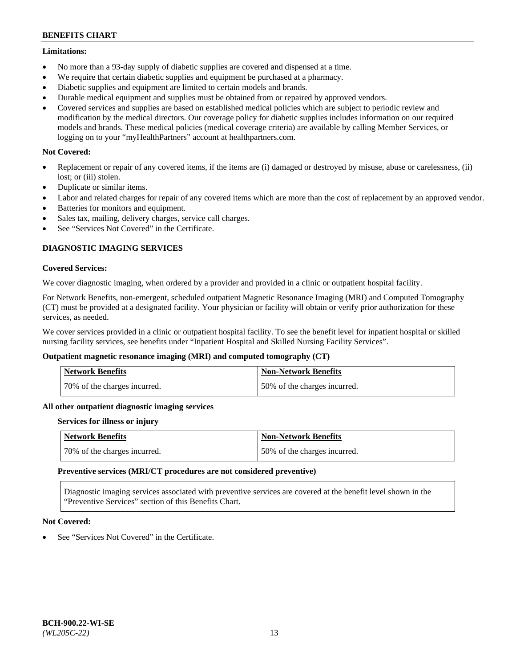### **Limitations:**

- No more than a 93-day supply of diabetic supplies are covered and dispensed at a time.
- We require that certain diabetic supplies and equipment be purchased at a pharmacy.
- Diabetic supplies and equipment are limited to certain models and brands.
- Durable medical equipment and supplies must be obtained from or repaired by approved vendors.
- Covered services and supplies are based on established medical policies which are subject to periodic review and modification by the medical directors. Our coverage policy for diabetic supplies includes information on our required models and brands. These medical policies (medical coverage criteria) are available by calling Member Services, or logging on to your "myHealthPartners" account at [healthpartners.com.](http://www.healthpartners.com/)

## **Not Covered:**

- Replacement or repair of any covered items, if the items are (i) damaged or destroyed by misuse, abuse or carelessness, (ii) lost; or (iii) stolen.
- Duplicate or similar items.
- Labor and related charges for repair of any covered items which are more than the cost of replacement by an approved vendor.
- Batteries for monitors and equipment.
- Sales tax, mailing, delivery charges, service call charges.
- See "Services Not Covered" in the Certificate.

## **DIAGNOSTIC IMAGING SERVICES**

### **Covered Services:**

We cover diagnostic imaging, when ordered by a provider and provided in a clinic or outpatient hospital facility.

For Network Benefits, non-emergent, scheduled outpatient Magnetic Resonance Imaging (MRI) and Computed Tomography (CT) must be provided at a designated facility. Your physician or facility will obtain or verify prior authorization for these services, as needed.

We cover services provided in a clinic or outpatient hospital facility. To see the benefit level for inpatient hospital or skilled nursing facility services, see benefits under "Inpatient Hospital and Skilled Nursing Facility Services".

## **Outpatient magnetic resonance imaging (MRI) and computed tomography (CT)**

| <b>Network Benefits</b>      | <b>Non-Network Benefits</b>  |
|------------------------------|------------------------------|
| 70% of the charges incurred. | 50% of the charges incurred. |

#### **All other outpatient diagnostic imaging services**

#### **Services for illness or injury**

| <b>Network Benefits</b>      | Non-Network Benefits         |
|------------------------------|------------------------------|
| 70% of the charges incurred. | 50% of the charges incurred. |

#### **Preventive services (MRI/CT procedures are not considered preventive)**

Diagnostic imaging services associated with preventive services are covered at the benefit level shown in the "Preventive Services" section of this Benefits Chart.

## **Not Covered:**

See "Services Not Covered" in the Certificate.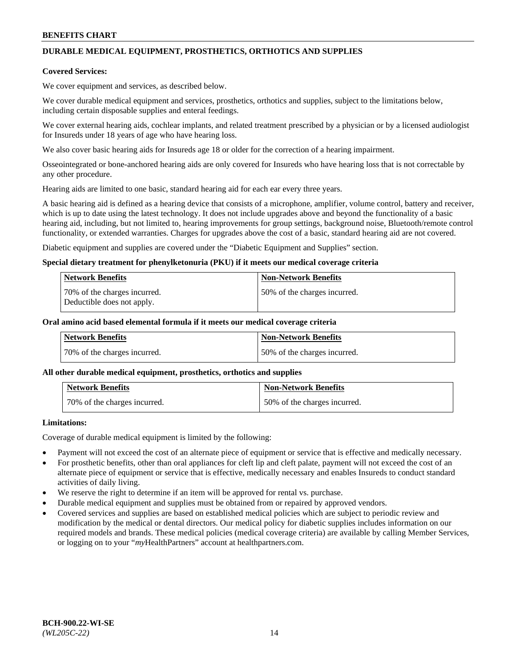# **DURABLE MEDICAL EQUIPMENT, PROSTHETICS, ORTHOTICS AND SUPPLIES**

### **Covered Services:**

We cover equipment and services, as described below.

We cover durable medical equipment and services, prosthetics, orthotics and supplies, subject to the limitations below, including certain disposable supplies and enteral feedings.

We cover external hearing aids, cochlear implants, and related treatment prescribed by a physician or by a licensed audiologist for Insureds under 18 years of age who have hearing loss.

We also cover basic hearing aids for Insureds age 18 or older for the correction of a hearing impairment.

Osseointegrated or bone-anchored hearing aids are only covered for Insureds who have hearing loss that is not correctable by any other procedure.

Hearing aids are limited to one basic, standard hearing aid for each ear every three years.

A basic hearing aid is defined as a hearing device that consists of a microphone, amplifier, volume control, battery and receiver, which is up to date using the latest technology. It does not include upgrades above and beyond the functionality of a basic hearing aid, including, but not limited to, hearing improvements for group settings, background noise, Bluetooth/remote control functionality, or extended warranties. Charges for upgrades above the cost of a basic, standard hearing aid are not covered.

Diabetic equipment and supplies are covered under the "Diabetic Equipment and Supplies" section.

### **Special dietary treatment for phenylketonuria (PKU) if it meets our medical coverage criteria**

| <b>Network Benefits</b>                                    | <b>Non-Network Benefits</b>  |
|------------------------------------------------------------|------------------------------|
| 70% of the charges incurred.<br>Deductible does not apply. | 50% of the charges incurred. |

### **Oral amino acid based elemental formula if it meets our medical coverage criteria**

| Network Benefits             | <b>Non-Network Benefits</b>  |
|------------------------------|------------------------------|
| 70% of the charges incurred. | 50% of the charges incurred. |

#### **All other durable medical equipment, prosthetics, orthotics and supplies**

| <b>Network Benefits</b>      | <b>Non-Network Benefits</b>  |
|------------------------------|------------------------------|
| 70% of the charges incurred. | 50% of the charges incurred. |

## **Limitations:**

Coverage of durable medical equipment is limited by the following:

- Payment will not exceed the cost of an alternate piece of equipment or service that is effective and medically necessary.
- For prosthetic benefits, other than oral appliances for cleft lip and cleft palate, payment will not exceed the cost of an alternate piece of equipment or service that is effective, medically necessary and enables Insureds to conduct standard activities of daily living.
- We reserve the right to determine if an item will be approved for rental vs. purchase.
- Durable medical equipment and supplies must be obtained from or repaired by approved vendors.
- Covered services and supplies are based on established medical policies which are subject to periodic review and modification by the medical or dental directors. Our medical policy for diabetic supplies includes information on our required models and brands. These medical policies (medical coverage criteria) are available by calling Member Services, or logging on to your "*my*HealthPartners" account a[t healthpartners.com.](http://www.healthpartners.com/)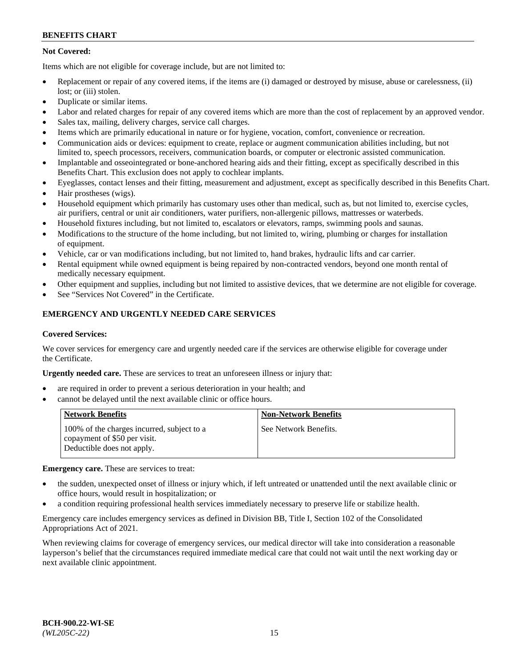## **Not Covered:**

Items which are not eligible for coverage include, but are not limited to:

- Replacement or repair of any covered items, if the items are (i) damaged or destroyed by misuse, abuse or carelessness, (ii) lost; or (iii) stolen.
- Duplicate or similar items.
- Labor and related charges for repair of any covered items which are more than the cost of replacement by an approved vendor.
- Sales tax, mailing, delivery charges, service call charges.
- Items which are primarily educational in nature or for hygiene, vocation, comfort, convenience or recreation.
- Communication aids or devices: equipment to create, replace or augment communication abilities including, but not limited to, speech processors, receivers, communication boards, or computer or electronic assisted communication.
- Implantable and osseointegrated or bone-anchored hearing aids and their fitting, except as specifically described in this Benefits Chart. This exclusion does not apply to cochlear implants.
- Eyeglasses, contact lenses and their fitting, measurement and adjustment, except as specifically described in this Benefits Chart.
- Hair prostheses (wigs).
- Household equipment which primarily has customary uses other than medical, such as, but not limited to, exercise cycles, air purifiers, central or unit air conditioners, water purifiers, non-allergenic pillows, mattresses or waterbeds.
- Household fixtures including, but not limited to, escalators or elevators, ramps, swimming pools and saunas.
- Modifications to the structure of the home including, but not limited to, wiring, plumbing or charges for installation of equipment.
- Vehicle, car or van modifications including, but not limited to, hand brakes, hydraulic lifts and car carrier.
- Rental equipment while owned equipment is being repaired by non-contracted vendors, beyond one month rental of medically necessary equipment.
- Other equipment and supplies, including but not limited to assistive devices, that we determine are not eligible for coverage.
- See "Services Not Covered" in the Certificate.

## **EMERGENCY AND URGENTLY NEEDED CARE SERVICES**

#### **Covered Services:**

We cover services for emergency care and urgently needed care if the services are otherwise eligible for coverage under the Certificate.

**Urgently needed care.** These are services to treat an unforeseen illness or injury that:

- are required in order to prevent a serious deterioration in your health; and
- cannot be delayed until the next available clinic or office hours.

| <b>Network Benefits</b>                                                                                  | <b>Non-Network Benefits</b> |
|----------------------------------------------------------------------------------------------------------|-----------------------------|
| 100% of the charges incurred, subject to a<br>copayment of \$50 per visit.<br>Deductible does not apply. | See Network Benefits.       |

**Emergency care.** These are services to treat:

- the sudden, unexpected onset of illness or injury which, if left untreated or unattended until the next available clinic or office hours, would result in hospitalization; or
- a condition requiring professional health services immediately necessary to preserve life or stabilize health.

Emergency care includes emergency services as defined in Division BB, Title I, Section 102 of the Consolidated Appropriations Act of 2021.

When reviewing claims for coverage of emergency services, our medical director will take into consideration a reasonable layperson's belief that the circumstances required immediate medical care that could not wait until the next working day or next available clinic appointment.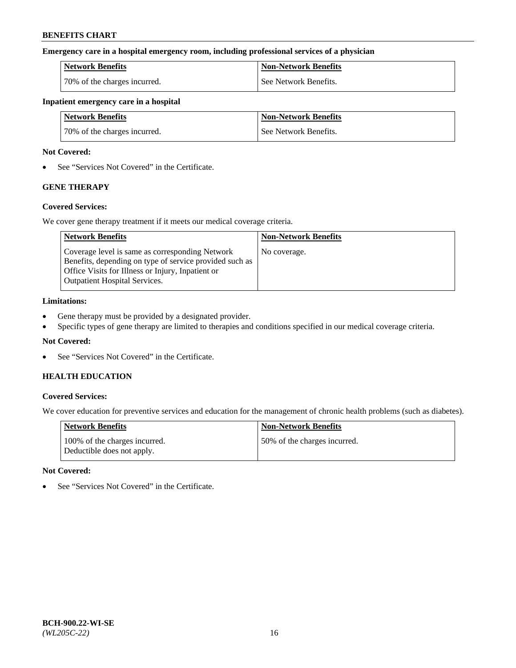### **Emergency care in a hospital emergency room, including professional services of a physician**

| <b>Network Benefits</b>      | Non-Network Benefits  |
|------------------------------|-----------------------|
| 70% of the charges incurred. | See Network Benefits. |

#### **Inpatient emergency care in a hospital**

| <b>Network Benefits</b>      | <b>Non-Network Benefits</b> |
|------------------------------|-----------------------------|
| 70% of the charges incurred. | See Network Benefits.       |

### **Not Covered:**

• See "Services Not Covered" in the Certificate.

# **GENE THERAPY**

## **Covered Services:**

We cover gene therapy treatment if it meets our medical coverage criteria.

| <b>Network Benefits</b>                                                                                                                                                                                 | <b>Non-Network Benefits</b> |
|---------------------------------------------------------------------------------------------------------------------------------------------------------------------------------------------------------|-----------------------------|
| Coverage level is same as corresponding Network<br>Benefits, depending on type of service provided such as<br>Office Visits for Illness or Injury, Inpatient or<br><b>Outpatient Hospital Services.</b> | No coverage.                |

### **Limitations:**

- Gene therapy must be provided by a designated provider.
- Specific types of gene therapy are limited to therapies and conditions specified in our medical coverage criteria.

## **Not Covered:**

• See "Services Not Covered" in the Certificate.

## **HEALTH EDUCATION**

## **Covered Services:**

We cover education for preventive services and education for the management of chronic health problems (such as diabetes).

| Network Benefits                                            | <b>Non-Network Benefits</b>  |
|-------------------------------------------------------------|------------------------------|
| 100% of the charges incurred.<br>Deductible does not apply. | 50% of the charges incurred. |

#### **Not Covered:**

• See "Services Not Covered" in the Certificate.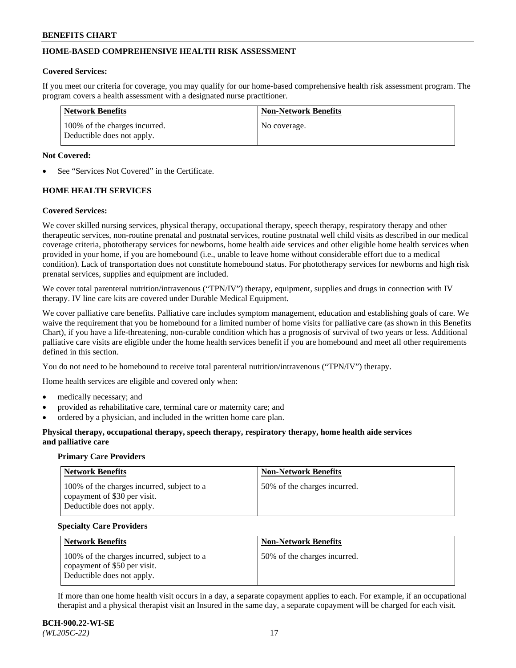## **HOME-BASED COMPREHENSIVE HEALTH RISK ASSESSMENT**

#### **Covered Services:**

If you meet our criteria for coverage, you may qualify for our home-based comprehensive health risk assessment program. The program covers a health assessment with a designated nurse practitioner.

| Network Benefits                                            | <b>Non-Network Benefits</b> |
|-------------------------------------------------------------|-----------------------------|
| 100% of the charges incurred.<br>Deductible does not apply. | No coverage.                |

### **Not Covered:**

See "Services Not Covered" in the Certificate.

## **HOME HEALTH SERVICES**

### **Covered Services:**

We cover skilled nursing services, physical therapy, occupational therapy, speech therapy, respiratory therapy and other therapeutic services, non-routine prenatal and postnatal services, routine postnatal well child visits as described in our medical coverage criteria, phototherapy services for newborns, home health aide services and other eligible home health services when provided in your home, if you are homebound (i.e., unable to leave home without considerable effort due to a medical condition). Lack of transportation does not constitute homebound status. For phototherapy services for newborns and high risk prenatal services, supplies and equipment are included.

We cover total parenteral nutrition/intravenous ("TPN/IV") therapy, equipment, supplies and drugs in connection with IV therapy. IV line care kits are covered under Durable Medical Equipment.

We cover palliative care benefits. Palliative care includes symptom management, education and establishing goals of care. We waive the requirement that you be homebound for a limited number of home visits for palliative care (as shown in this Benefits Chart), if you have a life-threatening, non-curable condition which has a prognosis of survival of two years or less. Additional palliative care visits are eligible under the home health services benefit if you are homebound and meet all other requirements defined in this section.

You do not need to be homebound to receive total parenteral nutrition/intravenous ("TPN/IV") therapy.

Home health services are eligible and covered only when:

- medically necessary; and
- provided as rehabilitative care, terminal care or maternity care; and
- ordered by a physician, and included in the written home care plan.

### **Physical therapy, occupational therapy, speech therapy, respiratory therapy, home health aide services and palliative care**

#### **Primary Care Providers**

| <b>Network Benefits</b>                                                                                  | <b>Non-Network Benefits</b>  |
|----------------------------------------------------------------------------------------------------------|------------------------------|
| 100% of the charges incurred, subject to a<br>copayment of \$30 per visit.<br>Deductible does not apply. | 50% of the charges incurred. |

#### **Specialty Care Providers**

| <b>Network Benefits</b>                                                                                  | <b>Non-Network Benefits</b>  |
|----------------------------------------------------------------------------------------------------------|------------------------------|
| 100% of the charges incurred, subject to a<br>copayment of \$50 per visit.<br>Deductible does not apply. | 50% of the charges incurred. |

If more than one home health visit occurs in a day, a separate copayment applies to each. For example, if an occupational therapist and a physical therapist visit an Insured in the same day, a separate copayment will be charged for each visit.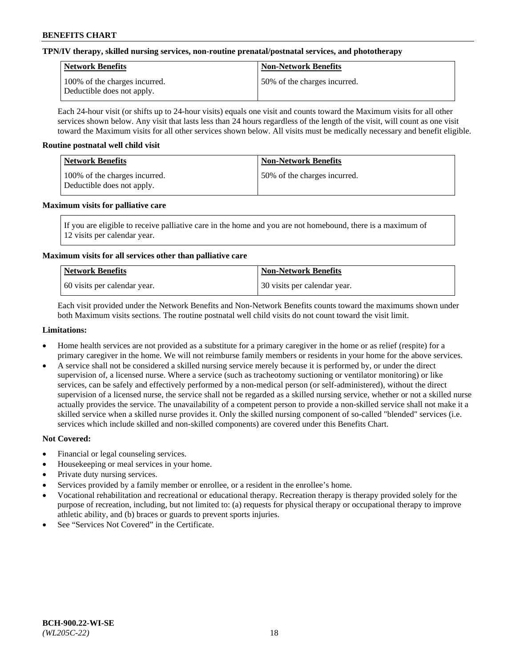## **TPN/IV therapy, skilled nursing services, non-routine prenatal/postnatal services, and phototherapy**

| <b>Network Benefits</b>                                     | <b>Non-Network Benefits</b>  |
|-------------------------------------------------------------|------------------------------|
| 100% of the charges incurred.<br>Deductible does not apply. | 50% of the charges incurred. |

Each 24-hour visit (or shifts up to 24-hour visits) equals one visit and counts toward the Maximum visits for all other services shown below. Any visit that lasts less than 24 hours regardless of the length of the visit, will count as one visit toward the Maximum visits for all other services shown below. All visits must be medically necessary and benefit eligible.

### **Routine postnatal well child visit**

| Network Benefits                                            | <b>Non-Network Benefits</b>  |
|-------------------------------------------------------------|------------------------------|
| 100% of the charges incurred.<br>Deductible does not apply. | 50% of the charges incurred. |

### **Maximum visits for palliative care**

If you are eligible to receive palliative care in the home and you are not homebound, there is a maximum of 12 visits per calendar year.

## **Maximum visits for all services other than palliative care**

| Network Benefits               | <b>Non-Network Benefits</b>  |
|--------------------------------|------------------------------|
| 1.60 visits per calendar year. | 30 visits per calendar year. |

Each visit provided under the Network Benefits and Non-Network Benefits counts toward the maximums shown under both Maximum visits sections. The routine postnatal well child visits do not count toward the visit limit.

### **Limitations:**

- Home health services are not provided as a substitute for a primary caregiver in the home or as relief (respite) for a primary caregiver in the home. We will not reimburse family members or residents in your home for the above services.
- A service shall not be considered a skilled nursing service merely because it is performed by, or under the direct supervision of, a licensed nurse. Where a service (such as tracheotomy suctioning or ventilator monitoring) or like services, can be safely and effectively performed by a non-medical person (or self-administered), without the direct supervision of a licensed nurse, the service shall not be regarded as a skilled nursing service, whether or not a skilled nurse actually provides the service. The unavailability of a competent person to provide a non-skilled service shall not make it a skilled service when a skilled nurse provides it. Only the skilled nursing component of so-called "blended" services (i.e. services which include skilled and non-skilled components) are covered under this Benefits Chart.

- Financial or legal counseling services.
- Housekeeping or meal services in your home.
- Private duty nursing services.
- Services provided by a family member or enrollee, or a resident in the enrollee's home.
- Vocational rehabilitation and recreational or educational therapy. Recreation therapy is therapy provided solely for the purpose of recreation, including, but not limited to: (a) requests for physical therapy or occupational therapy to improve athletic ability, and (b) braces or guards to prevent sports injuries.
- See "Services Not Covered" in the Certificate.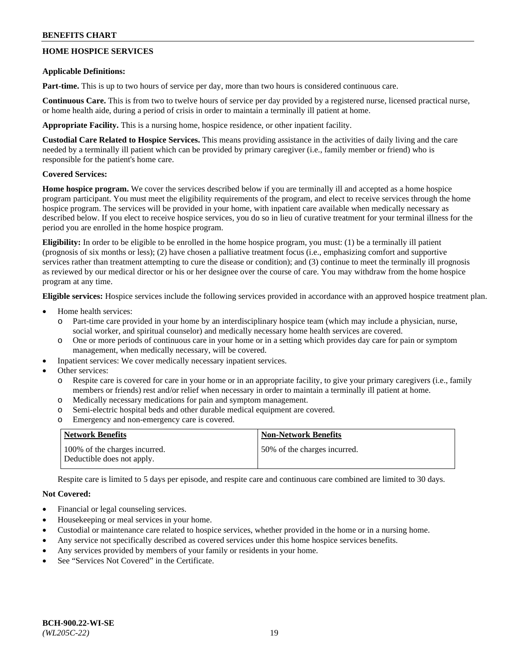## **HOME HOSPICE SERVICES**

### **Applicable Definitions:**

**Part-time.** This is up to two hours of service per day, more than two hours is considered continuous care.

**Continuous Care.** This is from two to twelve hours of service per day provided by a registered nurse, licensed practical nurse, or home health aide, during a period of crisis in order to maintain a terminally ill patient at home.

**Appropriate Facility.** This is a nursing home, hospice residence, or other inpatient facility.

**Custodial Care Related to Hospice Services.** This means providing assistance in the activities of daily living and the care needed by a terminally ill patient which can be provided by primary caregiver (i.e., family member or friend) who is responsible for the patient's home care.

## **Covered Services:**

**Home hospice program.** We cover the services described below if you are terminally ill and accepted as a home hospice program participant. You must meet the eligibility requirements of the program, and elect to receive services through the home hospice program. The services will be provided in your home, with inpatient care available when medically necessary as described below. If you elect to receive hospice services, you do so in lieu of curative treatment for your terminal illness for the period you are enrolled in the home hospice program.

**Eligibility:** In order to be eligible to be enrolled in the home hospice program, you must: (1) be a terminally ill patient (prognosis of six months or less); (2) have chosen a palliative treatment focus (i.e., emphasizing comfort and supportive services rather than treatment attempting to cure the disease or condition); and (3) continue to meet the terminally ill prognosis as reviewed by our medical director or his or her designee over the course of care. You may withdraw from the home hospice program at any time.

**Eligible services:** Hospice services include the following services provided in accordance with an approved hospice treatment plan.

- Home health services:
	- o Part-time care provided in your home by an interdisciplinary hospice team (which may include a physician, nurse, social worker, and spiritual counselor) and medically necessary home health services are covered.
	- o One or more periods of continuous care in your home or in a setting which provides day care for pain or symptom management, when medically necessary, will be covered.
	- Inpatient services: We cover medically necessary inpatient services.
- Other services:
	- Respite care is covered for care in your home or in an appropriate facility, to give your primary caregivers (i.e., family members or friends) rest and/or relief when necessary in order to maintain a terminally ill patient at home.
	- o Medically necessary medications for pain and symptom management.
	- o Semi-electric hospital beds and other durable medical equipment are covered.
	- o Emergency and non-emergency care is covered.

| Network Benefits                                            | <b>Non-Network Benefits</b>  |
|-------------------------------------------------------------|------------------------------|
| 100% of the charges incurred.<br>Deductible does not apply. | 50% of the charges incurred. |

Respite care is limited to 5 days per episode, and respite care and continuous care combined are limited to 30 days.

- Financial or legal counseling services.
- Housekeeping or meal services in your home.
- Custodial or maintenance care related to hospice services, whether provided in the home or in a nursing home.
- Any service not specifically described as covered services under this home hospice services benefits.
- Any services provided by members of your family or residents in your home.
- See "Services Not Covered" in the Certificate.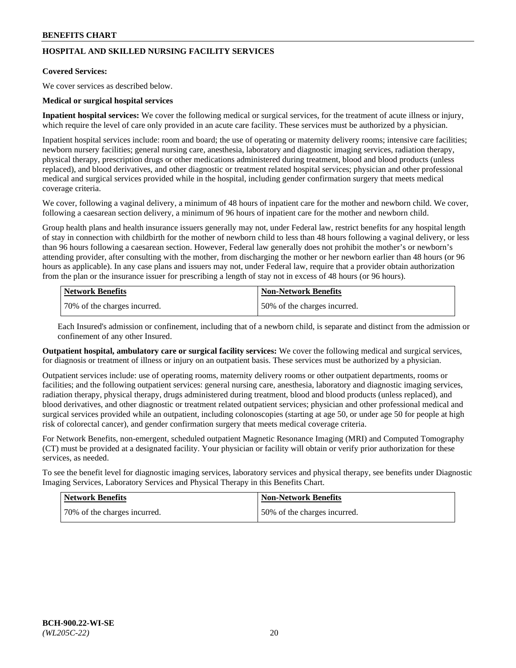## **HOSPITAL AND SKILLED NURSING FACILITY SERVICES**

#### **Covered Services:**

We cover services as described below.

### **Medical or surgical hospital services**

**Inpatient hospital services:** We cover the following medical or surgical services, for the treatment of acute illness or injury, which require the level of care only provided in an acute care facility. These services must be authorized by a physician.

Inpatient hospital services include: room and board; the use of operating or maternity delivery rooms; intensive care facilities; newborn nursery facilities; general nursing care, anesthesia, laboratory and diagnostic imaging services, radiation therapy, physical therapy, prescription drugs or other medications administered during treatment, blood and blood products (unless replaced), and blood derivatives, and other diagnostic or treatment related hospital services; physician and other professional medical and surgical services provided while in the hospital, including gender confirmation surgery that meets medical coverage criteria.

We cover, following a vaginal delivery, a minimum of 48 hours of inpatient care for the mother and newborn child. We cover, following a caesarean section delivery, a minimum of 96 hours of inpatient care for the mother and newborn child.

Group health plans and health insurance issuers generally may not, under Federal law, restrict benefits for any hospital length of stay in connection with childbirth for the mother of newborn child to less than 48 hours following a vaginal delivery, or less than 96 hours following a caesarean section. However, Federal law generally does not prohibit the mother's or newborn's attending provider, after consulting with the mother, from discharging the mother or her newborn earlier than 48 hours (or 96 hours as applicable). In any case plans and issuers may not, under Federal law, require that a provider obtain authorization from the plan or the insurance issuer for prescribing a length of stay not in excess of 48 hours (or 96 hours).

| Network Benefits             | Non-Network Benefits         |
|------------------------------|------------------------------|
| 70% of the charges incurred. | 50% of the charges incurred. |

Each Insured's admission or confinement, including that of a newborn child, is separate and distinct from the admission or confinement of any other Insured.

**Outpatient hospital, ambulatory care or surgical facility services:** We cover the following medical and surgical services, for diagnosis or treatment of illness or injury on an outpatient basis. These services must be authorized by a physician.

Outpatient services include: use of operating rooms, maternity delivery rooms or other outpatient departments, rooms or facilities; and the following outpatient services: general nursing care, anesthesia, laboratory and diagnostic imaging services, radiation therapy, physical therapy, drugs administered during treatment, blood and blood products (unless replaced), and blood derivatives, and other diagnostic or treatment related outpatient services; physician and other professional medical and surgical services provided while an outpatient, including colonoscopies (starting at age 50, or under age 50 for people at high risk of colorectal cancer), and gender confirmation surgery that meets medical coverage criteria.

For Network Benefits, non-emergent, scheduled outpatient Magnetic Resonance Imaging (MRI) and Computed Tomography (CT) must be provided at a designated facility. Your physician or facility will obtain or verify prior authorization for these services, as needed.

To see the benefit level for diagnostic imaging services, laboratory services and physical therapy, see benefits under Diagnostic Imaging Services, Laboratory Services and Physical Therapy in this Benefits Chart.

| <b>Network Benefits</b>      | <b>Non-Network Benefits</b>   |
|------------------------------|-------------------------------|
| 70% of the charges incurred. | 150% of the charges incurred. |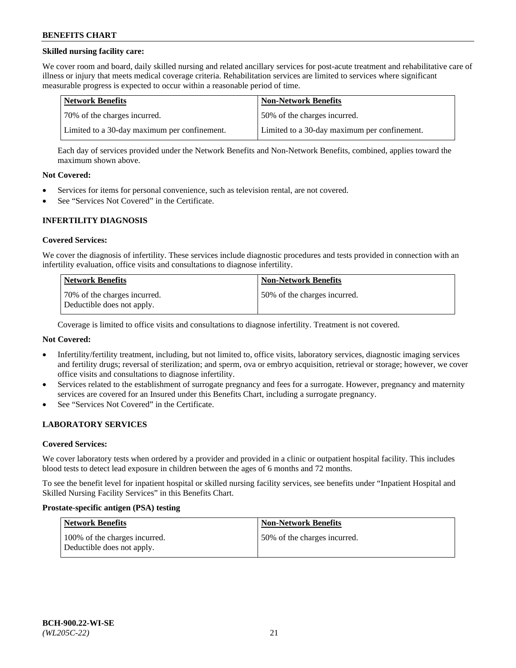## **Skilled nursing facility care:**

We cover room and board, daily skilled nursing and related ancillary services for post-acute treatment and rehabilitative care of illness or injury that meets medical coverage criteria. Rehabilitation services are limited to services where significant measurable progress is expected to occur within a reasonable period of time.

| Network Benefits                             | <b>Non-Network Benefits</b>                  |
|----------------------------------------------|----------------------------------------------|
| 170% of the charges incurred.                | 50% of the charges incurred.                 |
| Limited to a 30-day maximum per confinement. | Limited to a 30-day maximum per confinement. |

Each day of services provided under the Network Benefits and Non-Network Benefits, combined, applies toward the maximum shown above.

### **Not Covered:**

- Services for items for personal convenience, such as television rental, are not covered.
- See "Services Not Covered" in the Certificate.

### **INFERTILITY DIAGNOSIS**

#### **Covered Services:**

We cover the diagnosis of infertility. These services include diagnostic procedures and tests provided in connection with an infertility evaluation, office visits and consultations to diagnose infertility.

| <b>Network Benefits</b>                                    | <b>Non-Network Benefits</b>  |
|------------------------------------------------------------|------------------------------|
| 70% of the charges incurred.<br>Deductible does not apply. | 50% of the charges incurred. |

Coverage is limited to office visits and consultations to diagnose infertility. Treatment is not covered.

## **Not Covered:**

- Infertility/fertility treatment, including, but not limited to, office visits, laboratory services, diagnostic imaging services and fertility drugs; reversal of sterilization; and sperm, ova or embryo acquisition, retrieval or storage; however, we cover office visits and consultations to diagnose infertility.
- Services related to the establishment of surrogate pregnancy and fees for a surrogate. However, pregnancy and maternity services are covered for an Insured under this Benefits Chart, including a surrogate pregnancy.
- See "Services Not Covered" in the Certificate.

## **LABORATORY SERVICES**

#### **Covered Services:**

We cover laboratory tests when ordered by a provider and provided in a clinic or outpatient hospital facility. This includes blood tests to detect lead exposure in children between the ages of 6 months and 72 months.

To see the benefit level for inpatient hospital or skilled nursing facility services, see benefits under "Inpatient Hospital and Skilled Nursing Facility Services" in this Benefits Chart.

#### **Prostate-specific antigen (PSA) testing**

| Network Benefits                                            | <b>Non-Network Benefits</b>  |
|-------------------------------------------------------------|------------------------------|
| 100% of the charges incurred.<br>Deductible does not apply. | 50% of the charges incurred. |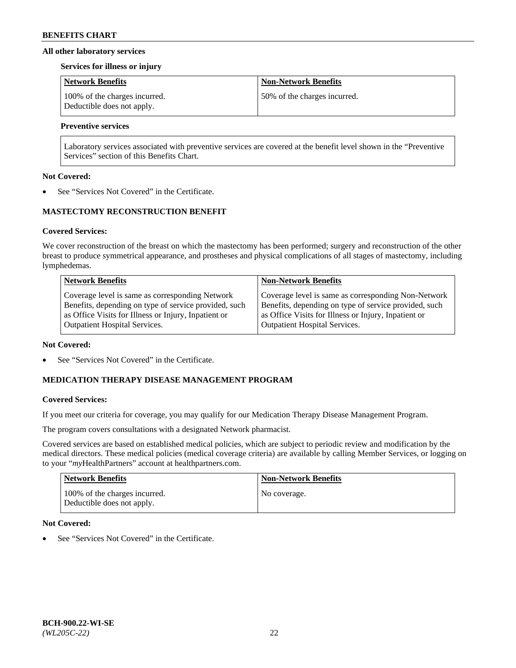### **All other laboratory services**

#### **Services for illness or injury**

| <b>Network Benefits</b>                                     | <b>Non-Network Benefits</b>  |
|-------------------------------------------------------------|------------------------------|
| 100% of the charges incurred.<br>Deductible does not apply. | 50% of the charges incurred. |

## **Preventive services**

Laboratory services associated with preventive services are covered at the benefit level shown in the "Preventive Services" section of this Benefits Chart.

### **Not Covered:**

See "Services Not Covered" in the Certificate.

## **MASTECTOMY RECONSTRUCTION BENEFIT**

### **Covered Services:**

We cover reconstruction of the breast on which the mastectomy has been performed; surgery and reconstruction of the other breast to produce symmetrical appearance, and prostheses and physical complications of all stages of mastectomy, including lymphedemas.

| <b>Network Benefits</b>                               | <b>Non-Network Benefits</b>                           |
|-------------------------------------------------------|-------------------------------------------------------|
| Coverage level is same as corresponding Network       | Coverage level is same as corresponding Non-Network   |
| Benefits, depending on type of service provided, such | Benefits, depending on type of service provided, such |
| as Office Visits for Illness or Injury, Inpatient or  | as Office Visits for Illness or Injury, Inpatient or  |
| <b>Outpatient Hospital Services.</b>                  | Outpatient Hospital Services.                         |

#### **Not Covered:**

See "Services Not Covered" in the Certificate.

## **MEDICATION THERAPY DISEASE MANAGEMENT PROGRAM**

## **Covered Services:**

If you meet our criteria for coverage, you may qualify for our Medication Therapy Disease Management Program.

The program covers consultations with a designated Network pharmacist.

Covered services are based on established medical policies, which are subject to periodic review and modification by the medical directors. These medical policies (medical coverage criteria) are available by calling Member Services, or logging on to your "*my*HealthPartners" account at [healthpartners.com.](http://www.healthpartners.com/)

| Network Benefits                                            | <b>Non-Network Benefits</b> |
|-------------------------------------------------------------|-----------------------------|
| 100% of the charges incurred.<br>Deductible does not apply. | No coverage.                |

## **Not Covered:**

See "Services Not Covered" in the Certificate.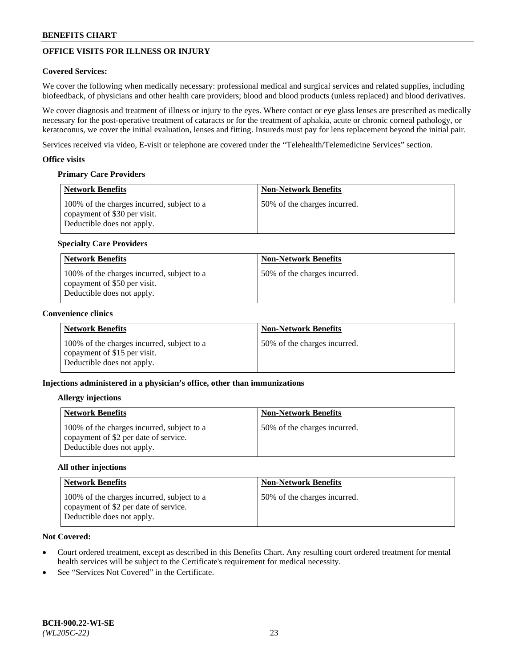# **OFFICE VISITS FOR ILLNESS OR INJURY**

## **Covered Services:**

We cover the following when medically necessary: professional medical and surgical services and related supplies, including biofeedback, of physicians and other health care providers; blood and blood products (unless replaced) and blood derivatives.

We cover diagnosis and treatment of illness or injury to the eyes. Where contact or eye glass lenses are prescribed as medically necessary for the post-operative treatment of cataracts or for the treatment of aphakia, acute or chronic corneal pathology, or keratoconus, we cover the initial evaluation, lenses and fitting. Insureds must pay for lens replacement beyond the initial pair.

Services received via video, E-visit or telephone are covered under the "Telehealth/Telemedicine Services" section.

### **Office visits**

## **Primary Care Providers**

| <b>Network Benefits</b>                                                                                  | <b>Non-Network Benefits</b>  |
|----------------------------------------------------------------------------------------------------------|------------------------------|
| 100% of the charges incurred, subject to a<br>copayment of \$30 per visit.<br>Deductible does not apply. | 50% of the charges incurred. |

## **Specialty Care Providers**

| Network Benefits                                                                                         | <b>Non-Network Benefits</b>   |
|----------------------------------------------------------------------------------------------------------|-------------------------------|
| 100% of the charges incurred, subject to a<br>copayment of \$50 per visit.<br>Deductible does not apply. | 50\% of the charges incurred. |

## **Convenience clinics**

| <b>Network Benefits</b>                                                                                  | <b>Non-Network Benefits</b>  |
|----------------------------------------------------------------------------------------------------------|------------------------------|
| 100% of the charges incurred, subject to a<br>copayment of \$15 per visit.<br>Deductible does not apply. | 50% of the charges incurred. |

## **Injections administered in a physician's office, other than immunizations**

#### **Allergy injections**

| <b>Network Benefits</b>                                                                                           | <b>Non-Network Benefits</b>  |
|-------------------------------------------------------------------------------------------------------------------|------------------------------|
| 100% of the charges incurred, subject to a<br>copayment of \$2 per date of service.<br>Deductible does not apply. | 50% of the charges incurred. |

#### **All other injections**

| Network Benefits                                                                                                  | <b>Non-Network Benefits</b>  |
|-------------------------------------------------------------------------------------------------------------------|------------------------------|
| 100% of the charges incurred, subject to a<br>copayment of \$2 per date of service.<br>Deductible does not apply. | 50% of the charges incurred. |

- Court ordered treatment, except as described in this Benefits Chart. Any resulting court ordered treatment for mental health services will be subject to the Certificate's requirement for medical necessity.
- See "Services Not Covered" in the Certificate.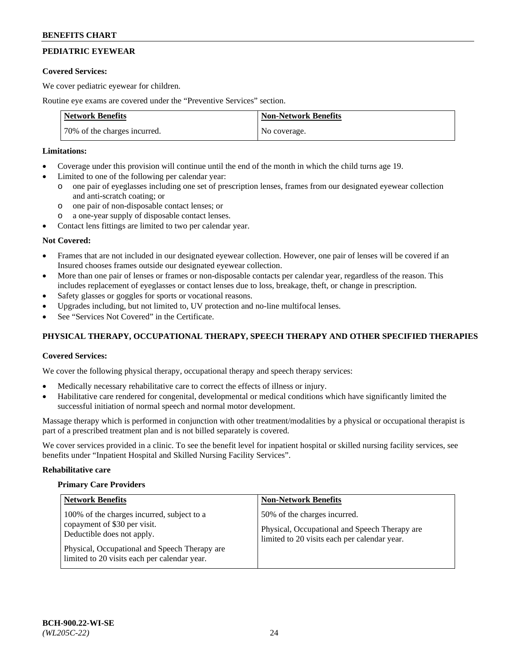# **PEDIATRIC EYEWEAR**

### **Covered Services:**

We cover pediatric eyewear for children.

Routine eye exams are covered under the "Preventive Services" section.

| <b>Network Benefits</b>      | <b>Non-Network Benefits</b> |
|------------------------------|-----------------------------|
| 70% of the charges incurred. | No coverage.                |

## **Limitations:**

- Coverage under this provision will continue until the end of the month in which the child turns age 19.
- Limited to one of the following per calendar year:
	- o one pair of eyeglasses including one set of prescription lenses, frames from our designated eyewear collection and anti-scratch coating; or
	- o one pair of non-disposable contact lenses; or
	- o a one-year supply of disposable contact lenses.
- Contact lens fittings are limited to two per calendar year.

## **Not Covered:**

- Frames that are not included in our designated eyewear collection. However, one pair of lenses will be covered if an Insured chooses frames outside our designated eyewear collection.
- More than one pair of lenses or frames or non-disposable contacts per calendar year, regardless of the reason. This includes replacement of eyeglasses or contact lenses due to loss, breakage, theft, or change in prescription.
- Safety glasses or goggles for sports or vocational reasons.
- Upgrades including, but not limited to, UV protection and no-line multifocal lenses.
- See "Services Not Covered" in the Certificate.

## **PHYSICAL THERAPY, OCCUPATIONAL THERAPY, SPEECH THERAPY AND OTHER SPECIFIED THERAPIES**

## **Covered Services:**

We cover the following physical therapy, occupational therapy and speech therapy services:

- Medically necessary rehabilitative care to correct the effects of illness or injury.
- Habilitative care rendered for congenital, developmental or medical conditions which have significantly limited the successful initiation of normal speech and normal motor development.

Massage therapy which is performed in conjunction with other treatment/modalities by a physical or occupational therapist is part of a prescribed treatment plan and is not billed separately is covered.

We cover services provided in a clinic. To see the benefit level for inpatient hospital or skilled nursing facility services, see benefits under "Inpatient Hospital and Skilled Nursing Facility Services".

#### **Rehabilitative care**

#### **Primary Care Providers**

| <b>Network Benefits</b>                                                                                                                                                                                   | <b>Non-Network Benefits</b>                                                                                                   |
|-----------------------------------------------------------------------------------------------------------------------------------------------------------------------------------------------------------|-------------------------------------------------------------------------------------------------------------------------------|
| 100% of the charges incurred, subject to a<br>copayment of \$30 per visit.<br>Deductible does not apply.<br>Physical, Occupational and Speech Therapy are<br>limited to 20 visits each per calendar year. | 50% of the charges incurred.<br>Physical, Occupational and Speech Therapy are<br>limited to 20 visits each per calendar year. |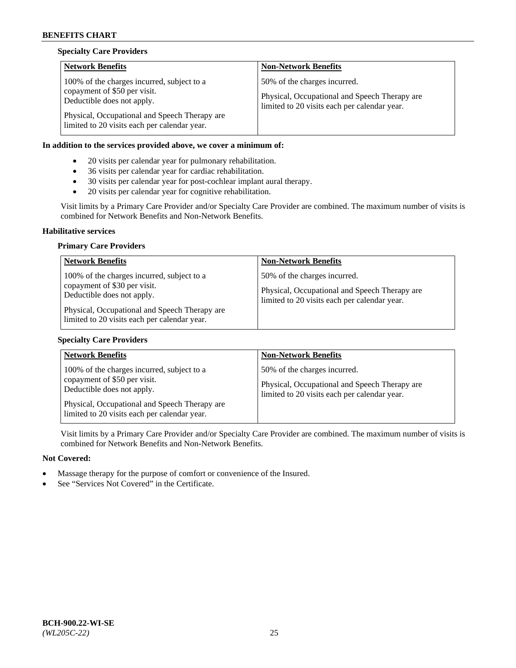## **Specialty Care Providers**

| <b>Network Benefits</b>                                                                                                                                                                                   | <b>Non-Network Benefits</b>                                                                                                   |
|-----------------------------------------------------------------------------------------------------------------------------------------------------------------------------------------------------------|-------------------------------------------------------------------------------------------------------------------------------|
| 100% of the charges incurred, subject to a<br>copayment of \$50 per visit.<br>Deductible does not apply.<br>Physical, Occupational and Speech Therapy are<br>limited to 20 visits each per calendar year. | 50% of the charges incurred.<br>Physical, Occupational and Speech Therapy are<br>limited to 20 visits each per calendar year. |

## **In addition to the services provided above, we cover a minimum of:**

- 20 visits per calendar year for pulmonary rehabilitation.
- 36 visits per calendar year for cardiac rehabilitation.
- 30 visits per calendar year for post-cochlear implant aural therapy.
- 20 visits per calendar year for cognitive rehabilitation.

Visit limits by a Primary Care Provider and/or Specialty Care Provider are combined. The maximum number of visits is combined for Network Benefits and Non-Network Benefits.

#### **Habilitative services**

### **Primary Care Providers**

| <b>Network Benefits</b>                                                                                                                                                                                   | <b>Non-Network Benefits</b>                                                                                                   |
|-----------------------------------------------------------------------------------------------------------------------------------------------------------------------------------------------------------|-------------------------------------------------------------------------------------------------------------------------------|
| 100% of the charges incurred, subject to a<br>copayment of \$30 per visit.<br>Deductible does not apply.<br>Physical, Occupational and Speech Therapy are<br>limited to 20 visits each per calendar year. | 50% of the charges incurred.<br>Physical, Occupational and Speech Therapy are<br>limited to 20 visits each per calendar year. |

## **Specialty Care Providers**

| <b>Network Benefits</b>                                                                                                                                   | <b>Non-Network Benefits</b>                                                                                                   |
|-----------------------------------------------------------------------------------------------------------------------------------------------------------|-------------------------------------------------------------------------------------------------------------------------------|
| 100% of the charges incurred, subject to a<br>copayment of \$50 per visit.<br>Deductible does not apply.<br>Physical, Occupational and Speech Therapy are | 50% of the charges incurred.<br>Physical, Occupational and Speech Therapy are<br>limited to 20 visits each per calendar year. |
| limited to 20 visits each per calendar year.                                                                                                              |                                                                                                                               |

Visit limits by a Primary Care Provider and/or Specialty Care Provider are combined. The maximum number of visits is combined for Network Benefits and Non-Network Benefits.

- Massage therapy for the purpose of comfort or convenience of the Insured.
- See "Services Not Covered" in the Certificate.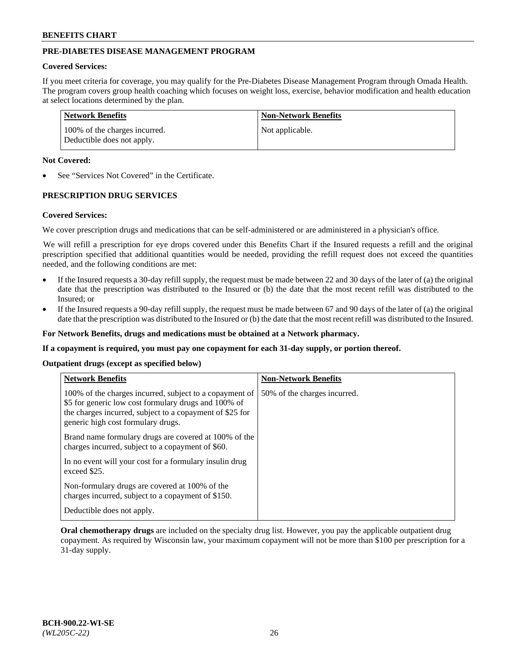## **PRE-DIABETES DISEASE MANAGEMENT PROGRAM**

### **Covered Services:**

If you meet criteria for coverage, you may qualify for the Pre-Diabetes Disease Management Program through Omada Health. The program covers group health coaching which focuses on weight loss, exercise, behavior modification and health education at select locations determined by the plan.

| Network Benefits                                            | <b>Non-Network Benefits</b> |
|-------------------------------------------------------------|-----------------------------|
| 100% of the charges incurred.<br>Deductible does not apply. | Not applicable.             |

### **Not Covered:**

See "Services Not Covered" in the Certificate.

## **PRESCRIPTION DRUG SERVICES**

#### **Covered Services:**

We cover prescription drugs and medications that can be self-administered or are administered in a physician's office.

We will refill a prescription for eye drops covered under this Benefits Chart if the Insured requests a refill and the original prescription specified that additional quantities would be needed, providing the refill request does not exceed the quantities needed, and the following conditions are met:

- If the Insured requests a 30-day refill supply, the request must be made between 22 and 30 days of the later of (a) the original date that the prescription was distributed to the Insured or (b) the date that the most recent refill was distributed to the Insured; or
- If the Insured requests a 90-day refill supply, the request must be made between 67 and 90 days of the later of (a) the original date that the prescription was distributed to the Insured or (b) the date that the most recent refill was distributed to the Insured.

**For Network Benefits, drugs and medications must be obtained at a Network pharmacy.**

**If a copayment is required, you must pay one copayment for each 31-day supply, or portion thereof.**

**Outpatient drugs (except as specified below)**

| <b>Network Benefits</b>                                                                                                                                                                                           | <b>Non-Network Benefits</b>  |
|-------------------------------------------------------------------------------------------------------------------------------------------------------------------------------------------------------------------|------------------------------|
| 100% of the charges incurred, subject to a copayment of<br>\$5 for generic low cost formulary drugs and 100% of<br>the charges incurred, subject to a copayment of \$25 for<br>generic high cost formulary drugs. | 50% of the charges incurred. |
| Brand name formulary drugs are covered at 100% of the<br>charges incurred, subject to a copayment of \$60.                                                                                                        |                              |
| In no event will your cost for a formulary insulin drug<br>exceed \$25.                                                                                                                                           |                              |
| Non-formulary drugs are covered at 100% of the<br>charges incurred, subject to a copayment of \$150.                                                                                                              |                              |
| Deductible does not apply.                                                                                                                                                                                        |                              |

**Oral chemotherapy drugs** are included on the specialty drug list. However, you pay the applicable outpatient drug copayment. As required by Wisconsin law, your maximum copayment will not be more than \$100 per prescription for a 31-day supply.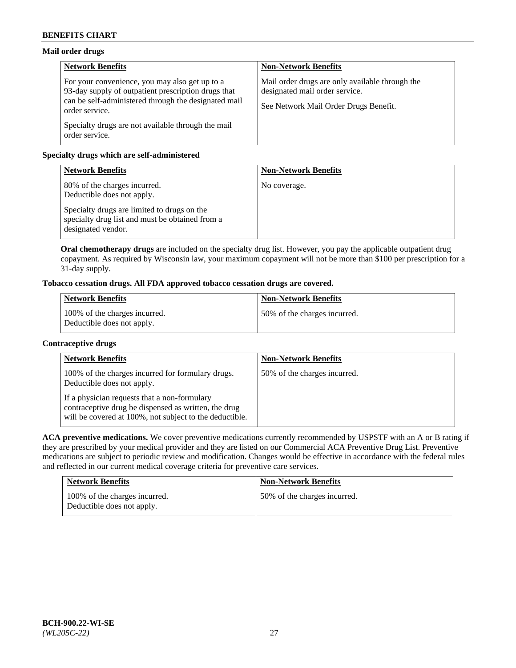## **Mail order drugs**

| <b>Network Benefits</b>                                                                                                                                                         | <b>Non-Network Benefits</b>                                                                                                |
|---------------------------------------------------------------------------------------------------------------------------------------------------------------------------------|----------------------------------------------------------------------------------------------------------------------------|
| For your convenience, you may also get up to a<br>93-day supply of outpatient prescription drugs that<br>can be self-administered through the designated mail<br>order service. | Mail order drugs are only available through the<br>designated mail order service.<br>See Network Mail Order Drugs Benefit. |
| Specialty drugs are not available through the mail<br>order service.                                                                                                            |                                                                                                                            |

## **Specialty drugs which are self-administered**

| <b>Network Benefits</b>                                                                                              | <b>Non-Network Benefits</b> |
|----------------------------------------------------------------------------------------------------------------------|-----------------------------|
| 80% of the charges incurred.<br>Deductible does not apply.                                                           | No coverage.                |
| Specialty drugs are limited to drugs on the<br>specialty drug list and must be obtained from a<br>designated vendor. |                             |

**Oral chemotherapy drugs** are included on the specialty drug list. However, you pay the applicable outpatient drug copayment. As required by Wisconsin law, your maximum copayment will not be more than \$100 per prescription for a 31-day supply.

# **Tobacco cessation drugs. All FDA approved tobacco cessation drugs are covered.**

| <b>Network Benefits</b>                                     | <b>Non-Network Benefits</b>  |
|-------------------------------------------------------------|------------------------------|
| 100% of the charges incurred.<br>Deductible does not apply. | 50% of the charges incurred. |

## **Contraceptive drugs**

| <b>Network Benefits</b>                                                                                                                                         | <b>Non-Network Benefits</b>  |
|-----------------------------------------------------------------------------------------------------------------------------------------------------------------|------------------------------|
| 100% of the charges incurred for formulary drugs.<br>Deductible does not apply.                                                                                 | 50% of the charges incurred. |
| If a physician requests that a non-formulary<br>contraceptive drug be dispensed as written, the drug<br>will be covered at 100%, not subject to the deductible. |                              |

**ACA preventive medications.** We cover preventive medications currently recommended by USPSTF with an A or B rating if they are prescribed by your medical provider and they are listed on our Commercial ACA Preventive Drug List. Preventive medications are subject to periodic review and modification. Changes would be effective in accordance with the federal rules and reflected in our current medical coverage criteria for preventive care services.

| <b>Network Benefits</b>                                     | <b>Non-Network Benefits</b>  |
|-------------------------------------------------------------|------------------------------|
| 100% of the charges incurred.<br>Deductible does not apply. | 50% of the charges incurred. |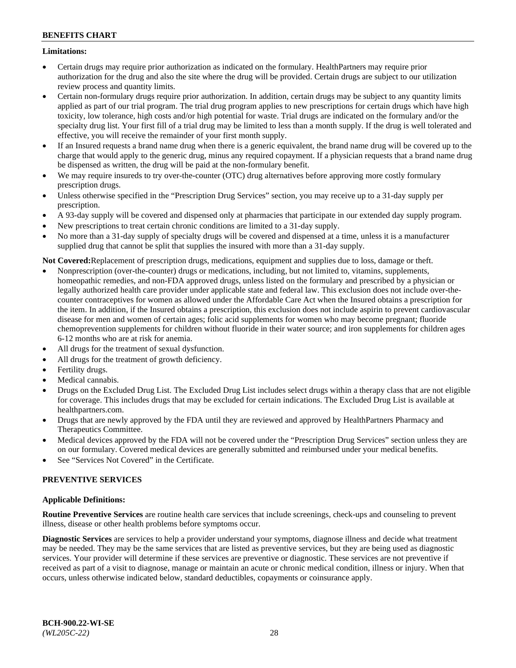## **Limitations:**

- Certain drugs may require prior authorization as indicated on the formulary. HealthPartners may require prior authorization for the drug and also the site where the drug will be provided. Certain drugs are subject to our utilization review process and quantity limits.
- Certain non-formulary drugs require prior authorization. In addition, certain drugs may be subject to any quantity limits applied as part of our trial program. The trial drug program applies to new prescriptions for certain drugs which have high toxicity, low tolerance, high costs and/or high potential for waste. Trial drugs are indicated on the formulary and/or the specialty drug list. Your first fill of a trial drug may be limited to less than a month supply. If the drug is well tolerated and effective, you will receive the remainder of your first month supply.
- If an Insured requests a brand name drug when there is a generic equivalent, the brand name drug will be covered up to the charge that would apply to the generic drug, minus any required copayment. If a physician requests that a brand name drug be dispensed as written, the drug will be paid at the non-formulary benefit.
- We may require insureds to try over-the-counter (OTC) drug alternatives before approving more costly formulary prescription drugs.
- Unless otherwise specified in the "Prescription Drug Services" section, you may receive up to a 31-day supply per prescription.
- A 93-day supply will be covered and dispensed only at pharmacies that participate in our extended day supply program.
- New prescriptions to treat certain chronic conditions are limited to a 31-day supply.
- No more than a 31-day supply of specialty drugs will be covered and dispensed at a time, unless it is a manufacturer supplied drug that cannot be split that supplies the insured with more than a 31-day supply.

**Not Covered:**Replacement of prescription drugs, medications, equipment and supplies due to loss, damage or theft.

- Nonprescription (over-the-counter) drugs or medications, including, but not limited to, vitamins, supplements, homeopathic remedies, and non-FDA approved drugs, unless listed on the formulary and prescribed by a physician or legally authorized health care provider under applicable state and federal law. This exclusion does not include over-thecounter contraceptives for women as allowed under the Affordable Care Act when the Insured obtains a prescription for the item. In addition, if the Insured obtains a prescription, this exclusion does not include aspirin to prevent cardiovascular disease for men and women of certain ages; folic acid supplements for women who may become pregnant; fluoride chemoprevention supplements for children without fluoride in their water source; and iron supplements for children ages 6-12 months who are at risk for anemia.
- All drugs for the treatment of sexual dysfunction.
- All drugs for the treatment of growth deficiency.
- Fertility drugs.
- Medical cannabis.
- Drugs on the Excluded Drug List. The Excluded Drug List includes select drugs within a therapy class that are not eligible for coverage. This includes drugs that may be excluded for certain indications. The Excluded Drug List is available at [healthpartners.com.](http://www.healthpartners.com/)
- Drugs that are newly approved by the FDA until they are reviewed and approved by HealthPartners Pharmacy and Therapeutics Committee.
- Medical devices approved by the FDA will not be covered under the "Prescription Drug Services" section unless they are on our formulary. Covered medical devices are generally submitted and reimbursed under your medical benefits.
- See "Services Not Covered" in the Certificate.

# **PREVENTIVE SERVICES**

## **Applicable Definitions:**

**Routine Preventive Services** are routine health care services that include screenings, check-ups and counseling to prevent illness, disease or other health problems before symptoms occur.

**Diagnostic Services** are services to help a provider understand your symptoms, diagnose illness and decide what treatment may be needed. They may be the same services that are listed as preventive services, but they are being used as diagnostic services. Your provider will determine if these services are preventive or diagnostic. These services are not preventive if received as part of a visit to diagnose, manage or maintain an acute or chronic medical condition, illness or injury. When that occurs, unless otherwise indicated below, standard deductibles, copayments or coinsurance apply.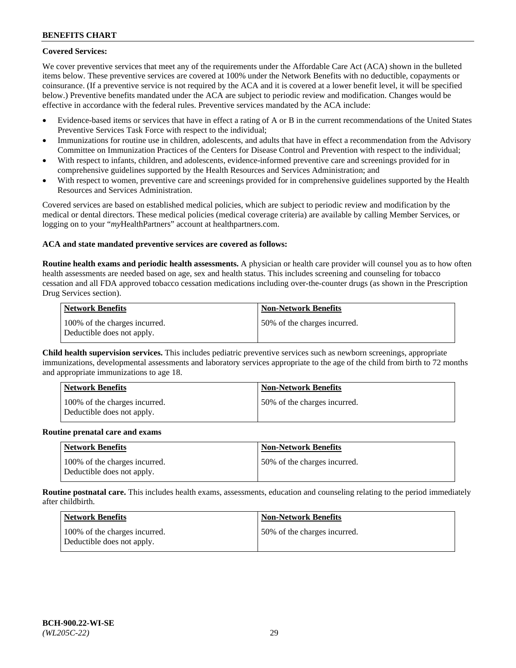## **Covered Services:**

We cover preventive services that meet any of the requirements under the Affordable Care Act (ACA) shown in the bulleted items below. These preventive services are covered at 100% under the Network Benefits with no deductible, copayments or coinsurance. (If a preventive service is not required by the ACA and it is covered at a lower benefit level, it will be specified below.) Preventive benefits mandated under the ACA are subject to periodic review and modification. Changes would be effective in accordance with the federal rules. Preventive services mandated by the ACA include:

- Evidence-based items or services that have in effect a rating of A or B in the current recommendations of the United States Preventive Services Task Force with respect to the individual;
- Immunizations for routine use in children, adolescents, and adults that have in effect a recommendation from the Advisory Committee on Immunization Practices of the Centers for Disease Control and Prevention with respect to the individual;
- With respect to infants, children, and adolescents, evidence-informed preventive care and screenings provided for in comprehensive guidelines supported by the Health Resources and Services Administration; and
- With respect to women, preventive care and screenings provided for in comprehensive guidelines supported by the Health Resources and Services Administration.

Covered services are based on established medical policies, which are subject to periodic review and modification by the medical or dental directors. These medical policies (medical coverage criteria) are available by calling Member Services, or logging on to your "*my*HealthPartners" account at [healthpartners.com.](https://www.healthpartners.com/hp/index.html)

## **ACA and state mandated preventive services are covered as follows:**

**Routine health exams and periodic health assessments.** A physician or health care provider will counsel you as to how often health assessments are needed based on age, sex and health status. This includes screening and counseling for tobacco cessation and all FDA approved tobacco cessation medications including over-the-counter drugs (as shown in the Prescription Drug Services section).

| Network Benefits                                            | <b>Non-Network Benefits</b>   |
|-------------------------------------------------------------|-------------------------------|
| 100% of the charges incurred.<br>Deductible does not apply. | 150% of the charges incurred. |

**Child health supervision services.** This includes pediatric preventive services such as newborn screenings, appropriate immunizations, developmental assessments and laboratory services appropriate to the age of the child from birth to 72 months and appropriate immunizations to age 18.

| <b>Network Benefits</b>                                     | <b>Non-Network Benefits</b>  |
|-------------------------------------------------------------|------------------------------|
| 100% of the charges incurred.<br>Deductible does not apply. | 50% of the charges incurred. |

#### **Routine prenatal care and exams**

| <b>Network Benefits</b>                                     | <b>Non-Network Benefits</b>   |
|-------------------------------------------------------------|-------------------------------|
| 100% of the charges incurred.<br>Deductible does not apply. | 150% of the charges incurred. |

**Routine postnatal care.** This includes health exams, assessments, education and counseling relating to the period immediately after childbirth.

| Network Benefits                                            | <b>Non-Network Benefits</b>  |
|-------------------------------------------------------------|------------------------------|
| 100% of the charges incurred.<br>Deductible does not apply. | 50% of the charges incurred. |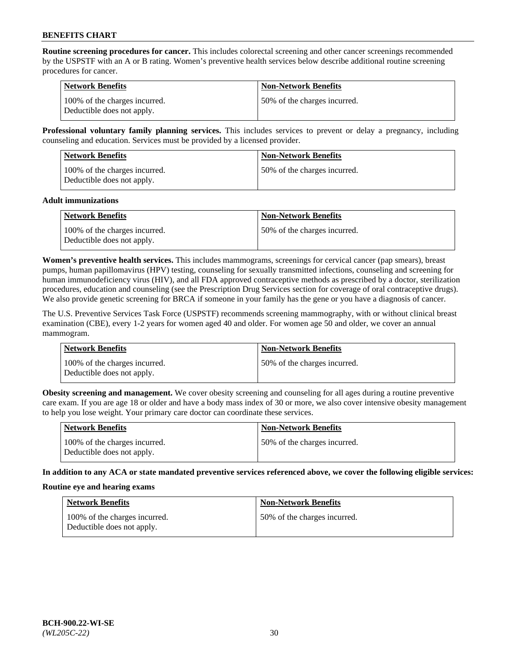**Routine screening procedures for cancer.** This includes colorectal screening and other cancer screenings recommended by the USPSTF with an A or B rating. Women's preventive health services below describe additional routine screening procedures for cancer.

| <b>Network Benefits</b>                                     | <b>Non-Network Benefits</b>   |
|-------------------------------------------------------------|-------------------------------|
| 100% of the charges incurred.<br>Deductible does not apply. | 150% of the charges incurred. |

**Professional voluntary family planning services.** This includes services to prevent or delay a pregnancy, including counseling and education. Services must be provided by a licensed provider.

| <b>Network Benefits</b>                                     | <b>Non-Network Benefits</b>  |
|-------------------------------------------------------------|------------------------------|
| 100% of the charges incurred.<br>Deductible does not apply. | 50% of the charges incurred. |

#### **Adult immunizations**

| <b>Network Benefits</b>                                     | <b>Non-Network Benefits</b>  |
|-------------------------------------------------------------|------------------------------|
| 100% of the charges incurred.<br>Deductible does not apply. | 50% of the charges incurred. |

**Women's preventive health services.** This includes mammograms, screenings for cervical cancer (pap smears), breast pumps, human papillomavirus (HPV) testing, counseling for sexually transmitted infections, counseling and screening for human immunodeficiency virus (HIV), and all FDA approved contraceptive methods as prescribed by a doctor, sterilization procedures, education and counseling (see the Prescription Drug Services section for coverage of oral contraceptive drugs). We also provide genetic screening for BRCA if someone in your family has the gene or you have a diagnosis of cancer.

The U.S. Preventive Services Task Force (USPSTF) recommends screening mammography, with or without clinical breast examination (CBE), every 1-2 years for women aged 40 and older. For women age 50 and older, we cover an annual mammogram.

| <b>Network Benefits</b>                                     | <b>Non-Network Benefits</b>   |
|-------------------------------------------------------------|-------------------------------|
| 100% of the charges incurred.<br>Deductible does not apply. | 150% of the charges incurred. |

**Obesity screening and management.** We cover obesity screening and counseling for all ages during a routine preventive care exam. If you are age 18 or older and have a body mass index of 30 or more, we also cover intensive obesity management to help you lose weight. Your primary care doctor can coordinate these services.

| Network Benefits                                            | <b>Non-Network Benefits</b>  |
|-------------------------------------------------------------|------------------------------|
| 100% of the charges incurred.<br>Deductible does not apply. | 50% of the charges incurred. |

**In addition to any ACA or state mandated preventive services referenced above, we cover the following eligible services:**

#### **Routine eye and hearing exams**

| <b>Network Benefits</b>                                     | <b>Non-Network Benefits</b>  |
|-------------------------------------------------------------|------------------------------|
| 100% of the charges incurred.<br>Deductible does not apply. | 50% of the charges incurred. |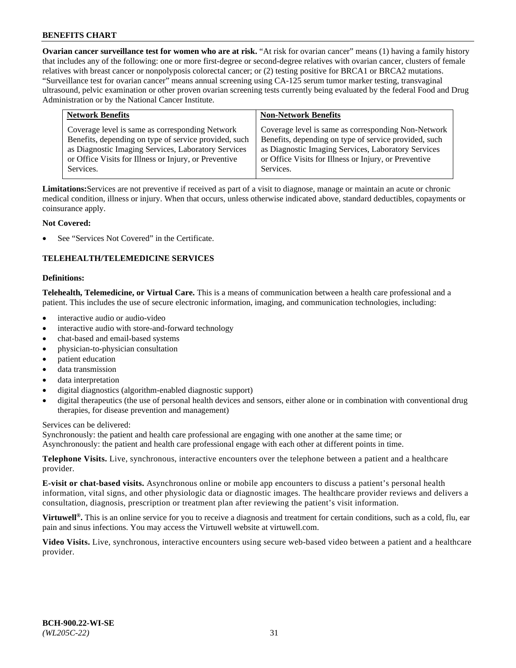**Ovarian cancer surveillance test for women who are at risk.** "At risk for ovarian cancer" means (1) having a family history that includes any of the following: one or more first-degree or second-degree relatives with ovarian cancer, clusters of female relatives with breast cancer or nonpolyposis colorectal cancer; or (2) testing positive for BRCA1 or BRCA2 mutations. "Surveillance test for ovarian cancer" means annual screening using CA-125 serum tumor marker testing, transvaginal ultrasound, pelvic examination or other proven ovarian screening tests currently being evaluated by the federal Food and Drug Administration or by the National Cancer Institute.

| <b>Network Benefits</b>                               | <b>Non-Network Benefits</b>                           |
|-------------------------------------------------------|-------------------------------------------------------|
| Coverage level is same as corresponding Network       | Coverage level is same as corresponding Non-Network   |
| Benefits, depending on type of service provided, such | Benefits, depending on type of service provided, such |
| as Diagnostic Imaging Services, Laboratory Services   | as Diagnostic Imaging Services, Laboratory Services   |
| or Office Visits for Illness or Injury, or Preventive | or Office Visits for Illness or Injury, or Preventive |
| Services.                                             | Services.                                             |

**Limitations:**Services are not preventive if received as part of a visit to diagnose, manage or maintain an acute or chronic medical condition, illness or injury. When that occurs, unless otherwise indicated above, standard deductibles, copayments or coinsurance apply.

## **Not Covered:**

See "Services Not Covered" in the Certificate.

## **TELEHEALTH/TELEMEDICINE SERVICES**

#### **Definitions:**

**Telehealth, Telemedicine, or Virtual Care.** This is a means of communication between a health care professional and a patient. This includes the use of secure electronic information, imaging, and communication technologies, including:

- interactive audio or audio-video
- interactive audio with store-and-forward technology
- chat-based and email-based systems
- physician-to-physician consultation
- patient education
- data transmission
- data interpretation
- digital diagnostics (algorithm-enabled diagnostic support)
- digital therapeutics (the use of personal health devices and sensors, either alone or in combination with conventional drug therapies, for disease prevention and management)

Services can be delivered:

Synchronously: the patient and health care professional are engaging with one another at the same time; or Asynchronously: the patient and health care professional engage with each other at different points in time.

**Telephone Visits.** Live, synchronous, interactive encounters over the telephone between a patient and a healthcare provider.

**E-visit or chat-based visits.** Asynchronous online or mobile app encounters to discuss a patient's personal health information, vital signs, and other physiologic data or diagnostic images. The healthcare provider reviews and delivers a consultation, diagnosis, prescription or treatment plan after reviewing the patient's visit information.

**Virtuwell<sup>®</sup>.** This is an online service for you to receive a diagnosis and treatment for certain conditions, such as a cold, flu, ear pain and sinus infections. You may access the Virtuwell website at [virtuwell.com.](https://www.virtuwell.com/)

**Video Visits.** Live, synchronous, interactive encounters using secure web-based video between a patient and a healthcare provider.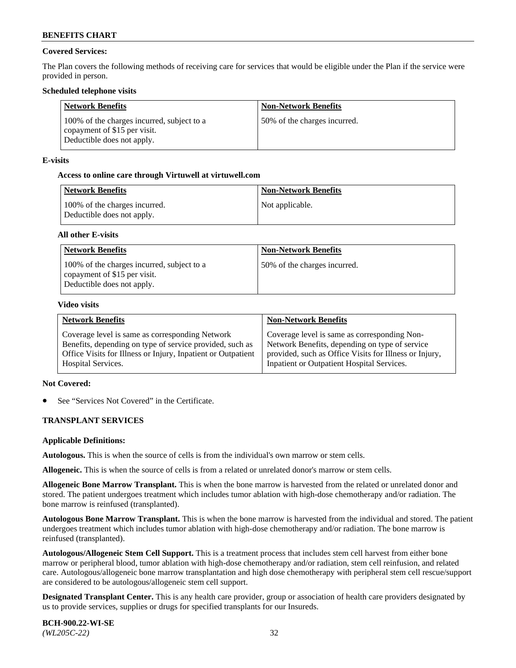## **Covered Services:**

The Plan covers the following methods of receiving care for services that would be eligible under the Plan if the service were provided in person.

### **Scheduled telephone visits**

| <b>Network Benefits</b>                                                                                  | <b>Non-Network Benefits</b>  |
|----------------------------------------------------------------------------------------------------------|------------------------------|
| 100% of the charges incurred, subject to a<br>copayment of \$15 per visit.<br>Deductible does not apply. | 50% of the charges incurred. |

### **E-visits**

### **Access to online care through Virtuwell at [virtuwell.com](https://www.virtuwell.com/)**

| Network Benefits                                            | <b>Non-Network Benefits</b> |
|-------------------------------------------------------------|-----------------------------|
| 100% of the charges incurred.<br>Deductible does not apply. | Not applicable.             |

### **All other E-visits**

| <b>Network Benefits</b>                                                                                  | <b>Non-Network Benefits</b>  |
|----------------------------------------------------------------------------------------------------------|------------------------------|
| 100% of the charges incurred, subject to a<br>copayment of \$15 per visit.<br>Deductible does not apply. | 50% of the charges incurred. |

#### **Video visits**

| <b>Network Benefits</b>                                      | <b>Non-Network Benefits</b>                            |
|--------------------------------------------------------------|--------------------------------------------------------|
| Coverage level is same as corresponding Network              | Coverage level is same as corresponding Non-           |
| Benefits, depending on type of service provided, such as     | Network Benefits, depending on type of service         |
| Office Visits for Illness or Injury, Inpatient or Outpatient | provided, such as Office Visits for Illness or Injury, |
| <b>Hospital Services.</b>                                    | Inpatient or Outpatient Hospital Services.             |

#### **Not Covered:**

See "Services Not Covered" in the Certificate.

## **TRANSPLANT SERVICES**

#### **Applicable Definitions:**

**Autologous.** This is when the source of cells is from the individual's own marrow or stem cells.

**Allogeneic.** This is when the source of cells is from a related or unrelated donor's marrow or stem cells.

**Allogeneic Bone Marrow Transplant.** This is when the bone marrow is harvested from the related or unrelated donor and stored. The patient undergoes treatment which includes tumor ablation with high-dose chemotherapy and/or radiation. The bone marrow is reinfused (transplanted).

**Autologous Bone Marrow Transplant.** This is when the bone marrow is harvested from the individual and stored. The patient undergoes treatment which includes tumor ablation with high-dose chemotherapy and/or radiation. The bone marrow is reinfused (transplanted).

**Autologous/Allogeneic Stem Cell Support.** This is a treatment process that includes stem cell harvest from either bone marrow or peripheral blood, tumor ablation with high-dose chemotherapy and/or radiation, stem cell reinfusion, and related care. Autologous/allogeneic bone marrow transplantation and high dose chemotherapy with peripheral stem cell rescue/support are considered to be autologous/allogeneic stem cell support.

**Designated Transplant Center.** This is any health care provider, group or association of health care providers designated by us to provide services, supplies or drugs for specified transplants for our Insureds.

**BCH-900.22-WI-SE**  *(WL205C-22)* 32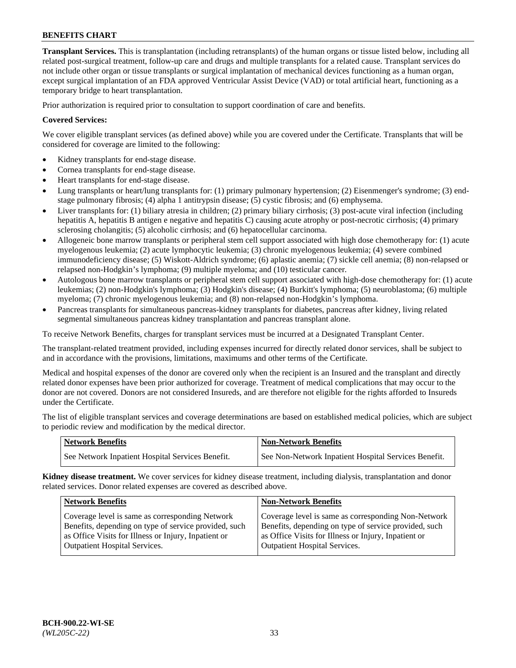**Transplant Services.** This is transplantation (including retransplants) of the human organs or tissue listed below, including all related post-surgical treatment, follow-up care and drugs and multiple transplants for a related cause. Transplant services do not include other organ or tissue transplants or surgical implantation of mechanical devices functioning as a human organ, except surgical implantation of an FDA approved Ventricular Assist Device (VAD) or total artificial heart, functioning as a temporary bridge to heart transplantation.

Prior authorization is required prior to consultation to support coordination of care and benefits.

## **Covered Services:**

We cover eligible transplant services (as defined above) while you are covered under the Certificate. Transplants that will be considered for coverage are limited to the following:

- Kidney transplants for end-stage disease.
- Cornea transplants for end-stage disease.
- Heart transplants for end-stage disease.
- Lung transplants or heart/lung transplants for: (1) primary pulmonary hypertension; (2) Eisenmenger's syndrome; (3) endstage pulmonary fibrosis; (4) alpha 1 antitrypsin disease; (5) cystic fibrosis; and (6) emphysema.
- Liver transplants for: (1) biliary atresia in children; (2) primary biliary cirrhosis; (3) post-acute viral infection (including hepatitis A, hepatitis B antigen e negative and hepatitis C) causing acute atrophy or post-necrotic cirrhosis; (4) primary sclerosing cholangitis; (5) alcoholic cirrhosis; and (6) hepatocellular carcinoma.
- Allogeneic bone marrow transplants or peripheral stem cell support associated with high dose chemotherapy for: (1) acute myelogenous leukemia; (2) acute lymphocytic leukemia; (3) chronic myelogenous leukemia; (4) severe combined immunodeficiency disease; (5) Wiskott-Aldrich syndrome; (6) aplastic anemia; (7) sickle cell anemia; (8) non-relapsed or relapsed non-Hodgkin's lymphoma; (9) multiple myeloma; and (10) testicular cancer.
- Autologous bone marrow transplants or peripheral stem cell support associated with high-dose chemotherapy for: (1) acute leukemias; (2) non-Hodgkin's lymphoma; (3) Hodgkin's disease; (4) Burkitt's lymphoma; (5) neuroblastoma; (6) multiple myeloma; (7) chronic myelogenous leukemia; and (8) non-relapsed non-Hodgkin's lymphoma.
- Pancreas transplants for simultaneous pancreas-kidney transplants for diabetes, pancreas after kidney, living related segmental simultaneous pancreas kidney transplantation and pancreas transplant alone.

To receive Network Benefits, charges for transplant services must be incurred at a Designated Transplant Center.

The transplant-related treatment provided, including expenses incurred for directly related donor services, shall be subject to and in accordance with the provisions, limitations, maximums and other terms of the Certificate.

Medical and hospital expenses of the donor are covered only when the recipient is an Insured and the transplant and directly related donor expenses have been prior authorized for coverage. Treatment of medical complications that may occur to the donor are not covered. Donors are not considered Insureds, and are therefore not eligible for the rights afforded to Insureds under the Certificate.

The list of eligible transplant services and coverage determinations are based on established medical policies, which are subject to periodic review and modification by the medical director.

| <b>Network Benefits</b>                          | <b>Non-Network Benefits</b>                          |
|--------------------------------------------------|------------------------------------------------------|
| See Network Inpatient Hospital Services Benefit. | See Non-Network Inpatient Hospital Services Benefit. |

**Kidney disease treatment.** We cover services for kidney disease treatment, including dialysis, transplantation and donor related services. Donor related expenses are covered as described above.

| <b>Network Benefits</b>                               | Non-Network Benefits                                  |
|-------------------------------------------------------|-------------------------------------------------------|
| Coverage level is same as corresponding Network       | Coverage level is same as corresponding Non-Network   |
| Benefits, depending on type of service provided, such | Benefits, depending on type of service provided, such |
| as Office Visits for Illness or Injury, Inpatient or  | as Office Visits for Illness or Injury, Inpatient or  |
| <b>Outpatient Hospital Services.</b>                  | Outpatient Hospital Services.                         |